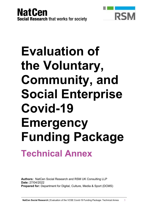



# **Evaluation of the Voluntary, Community, and Social Enterprise Covid-19 Emergency Funding Package Technical Annex**

**Authors:** NatCen Social Research and RSM UK Consulting LLP **Date:** 27/04/2022 **Prepared for:** Department for Digital, Culture, Media & Sport (DCMS)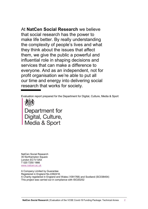At **NatCen Social Research** we believe that social research has the power to make life better. By really understanding the complexity of people's lives and what they think about the issues that affect them, we give the public a powerful and influential role in shaping decisions and services that can make a difference to everyone. And as an independent, not for profit organisation we're able to put all our time and energy into delivering social research that works for society.

Evaluation report prepared for the Department for Digital, Culture, Media & Sport



Department for<br>Digital, Culture,<br>Media & Sport

NatCen Social Research 35 Northampton Square London EC1V 0AX T 020 7250 1866 [www.natcen.ac.uk](http://www.natcen.ac.uk/)

A Company Limited by Guarantee Registered in England No.4392418. A Charity registered in England and Wales (1091768) and Scotland (SC038454) This project was carried out in compliance with ISO20252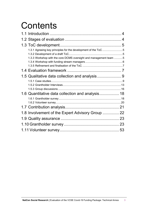# **Contents**

| 1.3.1 Agreeing key principles for the development of the ToC 5<br>1.3.3 Workshop with the core DCMS oversight and management team 5 |  |
|-------------------------------------------------------------------------------------------------------------------------------------|--|
|                                                                                                                                     |  |
|                                                                                                                                     |  |
|                                                                                                                                     |  |
|                                                                                                                                     |  |
|                                                                                                                                     |  |
|                                                                                                                                     |  |
| 1.6 Quantitative data collection and analysis 18                                                                                    |  |
|                                                                                                                                     |  |
|                                                                                                                                     |  |
| 1.8 Involvement of the Expert Advisory Group  22                                                                                    |  |
|                                                                                                                                     |  |
|                                                                                                                                     |  |
|                                                                                                                                     |  |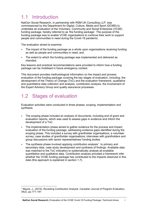# <span id="page-3-0"></span>1.1 Introduction

NatCen Social Research, in partnership with RSM UK Consulting LLP, was commissioned by the Department for Digital, Culture, Media and Sport (DCMS) to undertake an evaluation of the Voluntary, Community and Social Enterprise (VCSE) funding package, hereby referred to as 'the funding package'. The purpose of the funding package was to enable VCSE organisations to continue their work to support people and communities in need during the Covid-19 pandemic.

The evaluation aimed to examine:

- The impact of the funding package as a whole upon organisations receiving funding as well as people and communities in need; and
- The extent to which the funding package was implemented and delivered as intended.

Key lessons and practical recommendations were provided to inform how a funding package can be mobilised in future emergency context.

This document provides methodological information on the impact and process evaluation of the funding package covering the key stages of evaluation, including: the development of the Theory of Change (ToC) and the evaluation framework, qualitative and quantitative data collection and analysis, contribution analysis, the involvement of the Expert Advisory Group and quality assurance processes.

# <span id="page-3-1"></span>1.2 Stages of evaluation

Evaluation activities were conducted in three phases: scoping, implementation and synthesis.

- The scoping phase included an analysis of documents, including end of grant and evaluation reports, which was used to assess gaps in evidence and inform the development of a ToC.
- The implementation phase aimed to gather evidence for the process and impact evaluation of the funding package, addressing evidence gaps identified during the scoping phase. This included a survey with grantholder organisations; a volunteer survey; case studies of grantholder organisations; interviews with grantholders and group discussions with sector representatives/ funding bodies.
- The synthesis phase involved applying contribution analysis<sup>[1](#page-3-2)</sup> to primary and secondary data, case study development and synthesis of findings. Available data was matched to the ToC indicators to systematically analyse all available quantitative and qualitative data. Contribution analysis provided a framework infer whether the VCSE funding package has contributed to the impacts observed in this data (this approach is explained in section 1.7).

<span id="page-3-2"></span> <sup>1</sup> Mayne, J., (2019). Revisiting Contribution Analysis. Canadian Journal of Program Evaluation, 34(2), pp.171–191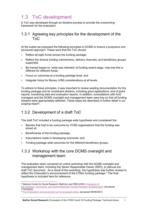# <span id="page-4-0"></span>1.3 ToC development

A ToC was developed through an iterative process to provide the overarching framework for the evaluation.

# <span id="page-4-1"></span>1.3.1 Agreeing key principles for the development of the ToC

At the outset we proposed the following principles to DCMS to ensure a purposive and structured approach. These were that the ToC should:

- Reflect all eight funds across the funding package;
- Reflect the diverse funding mechanisms, delivery channels, and beneficiary groups supported;
- Be framed based on 'what was intended' at funding award stage, note that this is different for different funds;
- Focus on outcomes at a funding package level; and
- Integrate Value for Money (VfM) considerations at all levels.

To adhere to these principles, it was important to review existing documentation for the funding package and its constituent streams, including grant applications, end of grant reports, monitoring data and evaluation reports. In addition, consultations with fund managers and the DCMS oversight and management team were key so that all funding streams were appropriately reflected. These steps are described in further detail in our scoping report<sup>[2](#page-4-4)</sup>.

# <span id="page-4-2"></span>1.3.2 Development of a draft ToC

The draft ToC included a funding package wide hypothesis and considered the:

- Barriers that had to be overcome by VCSE organisations that the funding was aimed at;
- Beneficiaries of the funding package;
- Assumptions made in developing outcomes; and
- Funding package wide outcomes for the different beneficiary groups.

# <span id="page-4-3"></span>1.3.3 Workshop with the core DCMS oversight and management team

The evaluation team convened an online workshop with the DCMS oversight and management team, including the Senior Responsible Owner (SRO), to discuss the draft ToC document. As a result of the workshop, the hypothesis was further revised to reflect the Chancellor's announcement of the £750m funding package. $^3$  $^3$  The final hypothesis is included here for reference:

<span id="page-4-4"></span><sup>-</sup><sup>2</sup> National Centre for Social Research (NatCen) and RSM (2022). [Evaluation of](https://assets.publishing.service.gov.uk/government/uploads/system/uploads/attachment_data/file/1049209/Evaluation_of_VCSE_Funding_Package_v3.pdf)

[the Voluntary, Community, and Social Enterprise Funding Package: Scoping report.](https://assets.publishing.service.gov.uk/government/uploads/system/uploads/attachment_data/file/1049209/Evaluation_of_VCSE_Funding_Package_v3.pdf) [Accessed 17/02/2022]

<span id="page-4-5"></span><sup>&</sup>lt;sup>3</sup> [The Chancellor's announcement can be accessed online.](https://www.gov.uk/government/news/chancellor-sets-out-extra-750-million-coronavirus-funding-for-frontline-charities) [accessed 06/09/2021]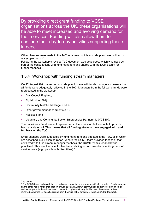By providing direct grant funding to VCSE organisations across the UK, these organisations will be able to meet increased and evolving demand for their services. Funding will also allow them to continue their day-to-day activities supporting those in need.

Other changes were made to the ToC as a result of this workshop and are outlined in our scoping report<sup>[4](#page-5-1)</sup>.

Following the workshop a revised ToC document was developed, which was used as part of the consultations with fund managers and shared with the DCMS team for further feedback.

# <span id="page-5-0"></span>1.3.4 Workshop with funding stream managers

On 12 August 2021, a second workshop took place with funds managers to ensure that all funds were adequately reflected in the ToC. Managers from the following funds were represented in the workshop:

- Arts Council England;
- Big Night In (BNI);
- Community Match Challenge (CMC);
- Other government departments (OGD);
- Hospices; and
- Voluntary and Community Sector Emergencies Partnership (VCSEP).

The Loneliness Fund was not represented at the workshop but was able to provide feedback via email. **This means that all funding streams have engaged with and fed back on the ToC.**

Small changes were suggested by fund managers and adopted in the ToC, all of which are described in our scoping report. Where the DCMS team provided feedback that conflicted with fund stream manager feedback, the DCMS team's feedback was prioritised. This was the case for feedback relating to outcomes for specific groups of service users (e.g., people with disabilities).<sup>[5](#page-5-2)</sup>

-

<span id="page-5-1"></span><sup>&</sup>lt;sup>4</sup> As above.

<span id="page-5-2"></span><sup>5</sup> The DCMS team had noted that no particular population group was specifically targeted. Fund managers, on the other hand, noted that data on groups such as LGBTQ+ communities or ethnic communities, as well as people with disabilities, was collected through monitoring. In this case, the evaluation team removed outcomes for specific groups from the initial list of outcomes, to reflect DCMS feedback.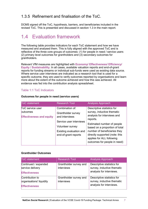# <span id="page-6-0"></span>1.3.5 Refinement and finalisation of the ToC.

DCMS signed off the ToC, hypothesis, barriers, and beneficiaries included in the revised ToC. This is presented and discussed in section 1.3 in the main report.

# <span id="page-6-1"></span>1.4 Evaluation framework

The following table provides indicators for each ToC statement and how we have measured and analysed them. This is fully aligned with the approved ToC and is reflective of the three core groups of outcomes: (1) for people in need / service users (2) primary level outcomes for grantholders and (3) secondary outcomes for grantholders.

Relevant VfM measures are highlighted with **Economy/ Effectiveness/ Efficiency/ Equity / Sustainability**. In all cases, available valuation reports and end-of-grant reports for funding streams or individual sub-funds were used as existing data source. Where service user interviews are indicated as a research tool that is used for a specific outcome, they are used to verify outcomes reported by organisations and learn more about the extent of the outcome achieved and how this was achieved. All evidence was fed into the contribution analysis spreadsheet.

#### Table 1:1 ToC Indicators

| <b>ToC</b> statement            | <b>Research Tool</b>    | <b>Analysis Approach</b>                                                                    |
|---------------------------------|-------------------------|---------------------------------------------------------------------------------------------|
| ToC service user                | Combination of:         | Descriptive statistics for                                                                  |
| <b>butcomes</b>                 | Grantholder survey      | survey, inductive thematic<br>analysis for interviews and                                   |
| <b>Effectiveness and equity</b> | and interviews          | reports.                                                                                    |
|                                 | Service user interviews | Estimated number of people                                                                  |
|                                 | Volunteer survey        | based on a proportion of total                                                              |
|                                 | Existing evaluation and | number of beneficiaries they                                                                |
|                                 | end-of-grant reports    | directly supported (note: this<br>applies for ALL following<br>outcomes for people in need) |
|                                 |                         |                                                                                             |

#### **Outcomes for people in need (service users)**

#### **Grantholder Outcomes**

| <b>ToC</b> statement                                                | <b>Research Tool</b>                 | <b>Analysis Approach</b>                                                             |
|---------------------------------------------------------------------|--------------------------------------|--------------------------------------------------------------------------------------|
| Continued / expanded<br>service delivery<br><b>Effectiveness</b>    | Grantholder survey and<br>interviews | Descriptive statistics for<br>survey, inductive thematic<br>analysis for interviews. |
| Contribution to<br>organisations' liquidity<br><b>Effectiveness</b> | Grantholder survey and<br>interviews | Descriptive statistics for<br>survey, inductive thematic<br>analysis for interviews. |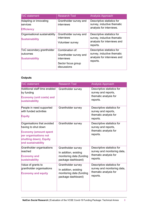| <b>ToC</b> statement                                           | <b>Research Tool</b>                                                                         | <b>Analysis Approach</b>                                                                            |
|----------------------------------------------------------------|----------------------------------------------------------------------------------------------|-----------------------------------------------------------------------------------------------------|
| Adapting or innovating<br>services<br><b>Efficiency</b>        | Grantholder survey and<br>interviews                                                         | Descriptive statistics for<br>survey, inductive thematic<br>analysis for interviews.                |
| Organisational sustainability<br><b>Sustainability</b>         | Grantholder survey and<br>interviews<br>Volunteer survey                                     | Descriptive statistics for<br>survey, inductive thematic<br>analysis for interviews and<br>reports. |
| ToC secondary grantholder<br>butcomes<br><b>Sustainability</b> | Combination of:<br>Grantholder survey and<br>interviews<br>Sector focus group<br>discussions | Descriptive statistics for<br>survey, inductive thematic<br>analysis for interviews and<br>reports. |

#### **Outputs**

| <b>ToC</b> statement                                                                                                                                       | <b>Research Tool</b>                                                                          | <b>Analysis Approach</b>                                                                       |
|------------------------------------------------------------------------------------------------------------------------------------------------------------|-----------------------------------------------------------------------------------------------|------------------------------------------------------------------------------------------------|
| Additional staff time enabled<br>by funding<br><b>Economy (unit costs) and</b><br>sustainability                                                           | Grantholder survey                                                                            | Descriptive statistics for<br>survey and reports,<br>thematic analysis for<br>reports.         |
| People in need supported<br>with funded activities<br><b>Equity</b>                                                                                        | Grantholder survey                                                                            | Descriptive statistics for<br>survey and reports,<br>thematic analysis for<br>reports.         |
| Organisations that avoided<br>having to shut down<br><b>Economy (amount spent</b><br>per organisations not<br>shutting down), Equity<br>and sustainability | Grantholder survey                                                                            | Descriptive statistics for<br>survey and reports,<br>thematic analysis for<br>reports.         |
| Grantholder organisations<br>reached<br><b>Economy and</b><br>sustainability                                                                               | Grantholder survey<br>In addition, existing<br>monitoring data (funding<br>package dashboard) | Descriptive statistics for<br>survey and monitoring data,<br>thematic analysis for<br>reports. |
| Value of grants to<br>grantholder organisations<br><b>Economy and equity</b>                                                                               | Grantholder survey<br>In addition, existing<br>monitoring data (funding<br>package dashboard) | Descriptive statistics for<br>survey and monitoring data,<br>thematic analysis for<br>reports. |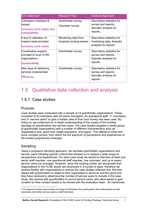| <b>ToC</b> statement                                                                              | <b>Research Tool</b>                            | <b>Analysis Approach</b>                                                               |
|---------------------------------------------------------------------------------------------------|-------------------------------------------------|----------------------------------------------------------------------------------------|
| <b>Nolunteers mobilised &amp;</b><br>trained<br><b>Economy (unit costs) and</b><br>sustainability | Grantholder survey<br>Volunteer survey          | Descriptive statistics for<br>survey and reports,<br>thematic analysis for<br>reports. |
| $#$ and %-utilisation of<br>hospice beds provided<br><b>Economy (unit costs)</b>                  | Monitoring data from<br>hospices funding stream | Descriptive statistics for<br>monitoring data, thematic<br>analysis for reports.       |
| Coordination support<br>provided to local VCSE<br>prganisations<br><b>Sustainability</b>          | Grantholder survey                              | Descriptive statistics for<br>survey and reports,<br>thematic analysis for<br>reports. |
| New ways of delivering<br>services implemented<br><b>Efficiency</b>                               | Grantholder survey                              | Descriptive statistics for<br>survey and reports,<br>thematic analysis for<br>reports. |

# <span id="page-8-0"></span>1.5 Qualitative data collection and analysis

# <span id="page-8-1"></span>1.5.1 Case studies

### Purpose

Case studies were conducted with a sample of 19 grantholder organisations. These consisted of 82 interviews with 20 senior managers, 20 operational staff, 11 volunteers, and 31 service users<sup>[6](#page-8-2)</sup> to gain a holistic view of how fund money has been used. By doing so, we evidenced an in-depth understanding of the impact of the funding package on grantholders and service users. The case studies targeted a varied group of grantholder organisations with a number of different characteristics such as organisation size, grant size, target population, and region. This offered a richer and more complex picture, from which the full spectrum of perceptions and experiences of the funded programmes emerged.

# Sampling

<u>.</u>

Using a purposive sampling approach, we sampled grantholder organisations and service users following specific criteria that allowed us to explore a wide range of perspectives and experiences. For each case study we aimed to interview at least one senior staff member, one operational staff member, one volunteer, and up to seven service users (on average). However, since the scoping phase, we recognised that organisations in the VCSE sector are structured in a myriad of ways, therefore we worked flexibly with organisations to ensure the case studies reflected this. We also liaised with grantholders to adapt to their organisation's structure and the grant size they have received to determine the number of service users to include in the case study. We worked with grantholders to recruit service users, who were asked to gain consent for their contact details to be shared with the evaluation team. As mentioned,

<span id="page-8-2"></span> $6$  The figures include some double counting of individuals; four participants were interviewed as both volunteers and either service users or staff members.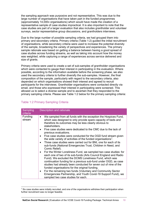the sampling approach was purposive and not representative. This was due to the large number of organisations that have taken part in the funded programmes (approximately 14,000v organisations) which would have made the creation of a representative sample of case studies impractical. It is also important to note that the case studies are part of a larger evaluation that also includes grantholder and volunteer surveys, sector representative group discussions, and grantholders interviews.

Due to the large number of possible sampling criteria, we had grouped them into primary and secondary criteria. Primary criteria (Table 1:2) guided the initial recruitment of organisations, while secondary criteria were used to increase the potential diversity of the sample, broadening the variety of perspectives and experiences. The primary sample rationale was based on getting a balance between having a good spread of case studies across funding streams, as well as taking into account how the money was weighted, while capturing a range of experiences across service delivered and size of grants.

Primary criteria were used to create a set of sub-samples of grantholder organisations which were contacted to gauge their interest in participating in the evaluation. Where possible, according to the information available before the screening phase, we also used the secondary criteria to further diversify the sub-samples. However, the final composition of the sample, particularly with regard to the secondary criteria, also depended on which organisations showed their interest and agreed to recruit participants for the interviews. Grantholder organisations were contacted directly via email, and those who expressed their interest in participating were screened. This allowed us to select a diverse sample and to ascertain that they responded to the primary sampling criteria. Please see Table 1:2 below for the primary sampling criteria:

| Sampling<br>criteria     | Description and rationale                                                                                                                                                                                                                                                                                                                                                                                                                                                                                                                                                                                                                                                                                                                                                                                                                                                                                                                                                                                                                                                                                                                                                                                                      |
|--------------------------|--------------------------------------------------------------------------------------------------------------------------------------------------------------------------------------------------------------------------------------------------------------------------------------------------------------------------------------------------------------------------------------------------------------------------------------------------------------------------------------------------------------------------------------------------------------------------------------------------------------------------------------------------------------------------------------------------------------------------------------------------------------------------------------------------------------------------------------------------------------------------------------------------------------------------------------------------------------------------------------------------------------------------------------------------------------------------------------------------------------------------------------------------------------------------------------------------------------------------------|
| <b>Funding</b><br>stream | We sampled from all funds with the exception the Hospices Fund,<br>which was designed to only provide spare capacity of beds and<br>therefore its outcomes may be less clearly obvious to<br>stakeholders.<br>Five case studies were dedicated to the CMC due to the lack of<br>$\bullet$<br>previous evaluations.<br>Five case studies were conducted for the OGD fund stream given<br>the wide variety of activities of the funded organisations <sup>7</sup> .<br>Three case studies were carried out for BNI, one for each of its<br>$\bullet$<br>sub-funds (National Emergencies Trust, Children in Need, and<br>Comic Relief).<br>For the Winter Loneliness Fund, we sampled two case studies: for<br>$\bullet$<br>each one of two of its sub-funds (Arts Council England and Radio<br>Fund). We excluded the DCMS Loneliness Fund, which was<br>continuation funding for a previous sub-fund under OGD, as case<br>studies had already been conducted for seven out of nine of the<br>funded organisations for the original funding.<br>For the remaining two funds (Voluntary and Community Sector<br>$\bullet$<br>Emergencies Partnership, and Youth Covid-19 Support Fund), we<br>sampled two case studies for each. |

#### Table 1:2 Primary Sampling Criteria

<u>.</u>

<span id="page-9-0"></span> $7$  Six case studies were initially recruited, and one of the organisations withdrew their participation when further recruitment was no longer feasible.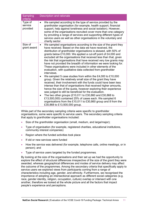| Sampling<br>criteria           | Description and rationale                                                                                                                                                                                                                                                                                                                                                                                                                                                                                                                                                                                                                                                                                                                                                                                                                                                                                                                                                                                                                                                                                                                                                                                                                                                           |
|--------------------------------|-------------------------------------------------------------------------------------------------------------------------------------------------------------------------------------------------------------------------------------------------------------------------------------------------------------------------------------------------------------------------------------------------------------------------------------------------------------------------------------------------------------------------------------------------------------------------------------------------------------------------------------------------------------------------------------------------------------------------------------------------------------------------------------------------------------------------------------------------------------------------------------------------------------------------------------------------------------------------------------------------------------------------------------------------------------------------------------------------------------------------------------------------------------------------------------------------------------------------------------------------------------------------------------|
| Type of<br>service<br>provided | We sampled according to the type of service provided by the<br>grantholder organisation (for example, health support, financial<br>support, help against loneliness and social isolation). However,<br>some of the organisations recruited cover more than one category<br>by providing a range of services and supporting different types of<br>service users as well as other organisations in the voluntary and<br>charity sector.                                                                                                                                                                                                                                                                                                                                                                                                                                                                                                                                                                                                                                                                                                                                                                                                                                               |
| Size of<br>grant award         | We sampled organisations according to the size of the grant they<br>have received. Based on the data we have received, the<br>distribution of grantholder organisations is skewed, with 50% of<br>grants below £10,000. We applied a cut-off point of £4,000 and<br>excluded all the organisations that received less than that, given<br>the risk that organisations that have received very low grants may<br>have not provided the breadth of information we were looking for.<br>These organisations were included in other elements of the<br>evaluation, with qualitative data collected from grantholder<br>interviews.<br>We sampled 5 case studies from within the £4,000 to £10,000<br>$\bullet$<br>group. Given the relatively small size of the grant they have<br>received, their involvement with the funds could have been less<br>intense than that of organisations that received higher amounts,<br>hence the size of the quota, however exploring their experience<br>was judged to still be beneficial for the evaluation.<br>The two other groups (£10,011 to £30,860 and £30,868 to<br>$\bullet$<br>£13,500,000) contained 25% of cases each. We sampled 6<br>organisations from the £10,011 to £30,860 group and 8 from the<br>£30,868 to £13,500,000 group. |

While part of the secondary sampling criteria were specific to grantholder organisations, some were specific to service users. The secondary sampling criteria that apply to grantholder organisations included:

- Size of the grantholder organisation (small, medium, and large/major);
- Type of organisation (for example, registered charities, educational institutions, community interest companies)
- Region where the funded activities took place
- If old or new services were funded
- How the service was delivered (for example, telephone calls, online meetings, or in person); and
- Type of service users targeted by the funded programmes.

By looking at the size of the organisations and their set up we had the opportunity to explore the effect of structural differences irrespective of the size of the grant they were awarded, whereas geographical differences and modes of service delivery may affect the outcome of the programmes. Among the secondary criteria that specifically apply to service users we explored views from participants coming from a range of characteristics including age, gender, and ethnicity. Furthermore, we recognised the importance of adopting an intersectional approach as different social categories (e.g. race, gender identity, religion, occupation, culture) overlap or intersect with one another, therefore we looked at the whole picture and all the factors that impact people's experience and perceptions.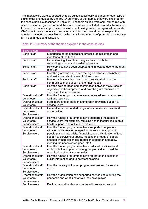The interviewers were supported by topic guides specifically designed for each type of stakeholder and guided by the ToC. A summary of the themes that were explored for the case studies is described in Table 1:3. The topic guides were semi-structured with open questions organised around the main themes and included tailored sub-questions for each fund where appropriate. For example, to ask grantholder organisation's under CMC about their experience of sourcing match funding. We aimed at keeping the questions as open as possible and with only a limited number of prompts to encourage an in-depth, guided discussion.

#### Table 1:3 Summary of the themes explored in the case studies

| <b>Stakeholders</b>                                       | <b>Themes</b>                                                                                                                                                                                                                                                                                                                                                   |
|-----------------------------------------------------------|-----------------------------------------------------------------------------------------------------------------------------------------------------------------------------------------------------------------------------------------------------------------------------------------------------------------------------------------------------------------|
| Senior staff                                              | Experience of the applications process, administration and<br>monitoring of the funds                                                                                                                                                                                                                                                                           |
| Senior staff                                              | Understanding if and how the grant has contributed to<br>expanding or maintaining existing services.                                                                                                                                                                                                                                                            |
| Senior staff                                              | How services have been adapted and innovated due to the grant<br>received.                                                                                                                                                                                                                                                                                      |
| Senior staff                                              | How the grant has supported the organisations' sustainability<br>and resilience, also in case of future crises.                                                                                                                                                                                                                                                 |
| Senior staff                                              | How organisations has developed their knowledge of the<br>communities they support and of their needs.                                                                                                                                                                                                                                                          |
| Senior staff                                              | How the collaboration and coordination between VCSE sector<br>organisations has improved and how the grant received has<br>supported the improvement.                                                                                                                                                                                                           |
| Operational staff;<br><b>Volunteers</b>                   | How the funded programmes were delivered and what worked<br>well and less well.                                                                                                                                                                                                                                                                                 |
| Operational staff;<br><b>Volunteers</b>                   | Facilitators and barriers encountered in providing support to<br>service users.                                                                                                                                                                                                                                                                                 |
| Operational staff;<br>Volunteers;<br>Service users        | General impact of funded programmes on service users and<br>communities.                                                                                                                                                                                                                                                                                        |
| Operational staff;<br>Volunteers;<br>Service users        | How the funded programmes have supported the needs of<br>service users (for example, reducing health inequalities, mental<br>health support, end of life support, etc.).                                                                                                                                                                                        |
| Operational staff;<br>Volunteers;<br>Service users        | How the funded programmes have supported people in a<br>situation of distress or marginality (for example, support to<br>people pushed into crisis, financial support, distribution of food,<br>support to survivors of abuse, meeting the needs of people<br>affected by homelessness, reduction of gender inequality,<br>meeting the needs of refugees, etc.) |
| Operational staff;<br>Volunteers;<br>Service users        | How the funded programmes have reduced loneliness and<br>social isolation, supported young people, and improved the<br>organisation of local communities.                                                                                                                                                                                                       |
| Operational staff;<br><b>Volunteers:</b><br>Service users | How the funded programmes have facilitated the access to<br>public information and to new technologies.                                                                                                                                                                                                                                                         |
| Operational staff;<br>Volunteers;<br>Service users        | How the delivery of funded programmes worked for service<br>users.                                                                                                                                                                                                                                                                                              |
| Operational staff;<br>Volunteers;<br>Service users        | How the organisation has supported service users during the<br>pandemic and what kind of role they have played.                                                                                                                                                                                                                                                 |
| Service users                                             | Facilitators and barriers encountered in receiving support.                                                                                                                                                                                                                                                                                                     |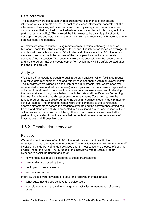# Data collection

The interviews were conducted by researchers with experience of conducting interviews with vulnerable groups. In most cases, each interviewer moderated all the interviews in their assigned case study, with the only exceptions due to unforeseen circumstances that required prompt adjustments (such as, last minute changes to the participant's availability). This allowed the interviewer to be a single point of contact, develop a holistic understanding of the organisation, and recognise with more ease any potential gaps and patterns.

All interviews were conducted using remote communication technologies such as Microsoft Teams for online meetings or telephone. The interviews lasted on average 60 minutes, with some lasting around 30 minutes and others more than 60 minutes, and were audio recorded with the consent of the participant to allow for an accurate account of the discussion. The recordings were only accessible to the research team and are stored on NatCen's secure server from which they will be safely deleted after the end of the project.

# Analysis

We used a Framework approach to qualitative data analysis, which facilitated robust qualitative data management and analysis by case and theme within an overall matrix. The interviews were written up and summarised in Microsoft Excel where each row represented a case (individual interview) while topics and sub-topics were organised in columns. This allowed to compare the different topics across cases, and to develop thematic matrices through familiarisation with the data and identification of emerging themes. Each thematic matrix represented one key theme (for example, how the funded programme was delivered), and the column headings in each matrix related to key sub-themes. The emerging themes were then compared to the contribution analysis statements to assess the evidence strength and the convergence of findings. Each stand-alone case study is presented in Annex 2 and a wider comparison of their outcomes was included as part of the synthesis. Each case study was sent to the pertinent organisation for a final check before publication to ensure the absence of inaccuracies and fill possible gaps.

# <span id="page-12-0"></span>1.5.2 Grantholder Interviews

# Purpose

We conducted interviews of up to 60 minutes with a sample of grantholder organisations' management team members. The interviewees were all grantholder staff involved in the delivery of funded activities and, in most cases, the process of securing or applying for the funds. The purpose of the interviews was to obtain in-depth evidence to assist the understanding of

- how funding has made a difference to these organisations,
- how funding was used by them,
- the impact on service users,
- and lessons learned.

Interview guides were developed to cover the following thematic areas:

- What outcomes did you achieve for service users?
- How did you adapt, expand, or change your activities to meet needs of service users?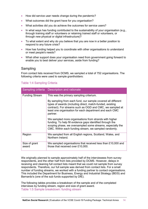- How did service user needs change during the pandemic?
- What outcomes did the grant have for you organisation?
- What activities did you do achieve the outcomes for service users?
- In what ways has funding contributed to the sustainability of your organisation (e.g., through training staff or volunteers or retaining trained staff or volunteers, or through new physical or digital infrastructure)?
- To what extent and why do you believe that you are now in a better position to respond to any future crisis?
- How has funding helped you to coordinate with other organisations to understand or meet people's needs?
- What other support does your organisation need from government going forward to enable you to best deliver your services, aside from funding?

### Sampling

From contact lists received from DCMS, we sampled a total of 752 organisations. The following criteria were used to sample grantholders:

|                        | Sampling criteria Description and rationale                                                                                                                                                                                                                   |
|------------------------|---------------------------------------------------------------------------------------------------------------------------------------------------------------------------------------------------------------------------------------------------------------|
| <b>Funding Stream</b>  | This was the primary sampling criterium.                                                                                                                                                                                                                      |
|                        | By sampling from each fund, our sample covered all different<br>types of awards (including direct, match-funded, existing<br>contract). For streams such as OGD and CMC, we sampled at<br>least one organisation for each department and each CMC<br>partner. |
|                        | We sampled more organisations from strands with higher<br>funding. To help fill evidence gaps identified through the<br>scoping phase, we oversampled some streams, especially the<br>CMC. Within each funding stream, we sampled randomly.                   |
| Region                 | We sampled from all English regions, Scotland, Wales, and<br>Northern Ireland.                                                                                                                                                                                |
| Size of grant<br>award | We sampled organisations that received less than £10,000 and<br>those that received over £10,000.                                                                                                                                                             |

#### Table 1:4 Sampling Criteria

We originally planned to sample approximately half of the interviewees from survey respondents, and the other half from lists provided by DCMS. However, delays in receiving and cleaning full contact lists meant that we could not sample from survey respondents. Therefore, our full sample was derived from contact lists. For a small number of funding streams, we worked with a funding partner to contact organisations. This included the Department for Business, Energy and Industrial Strategy (BEIS) and Barnardo's (one of the sub funds supported by DfE).

The following tables provides a breakdown of the sample and of the completed interviews by funding stream, region and size of grant award. Table 1:5 Sample breakdown: funding stream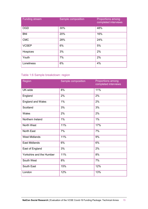| <b>Funding stream</b> | Sample composition | <b>Proportions among</b><br>completed interviews |
|-----------------------|--------------------|--------------------------------------------------|
| <b>OGD</b>            | 30%                | 48%                                              |
| <b>BNI</b>            | 20%                | 16%                                              |
| <b>CMC</b>            | 28%                | 24%                                              |
| <b>VCSEP</b>          | 6%                 | 5%                                               |
| Hospices              | 3%                 | 2%                                               |
| Youth                 | 7%                 | 2%                                               |
| Loneliness            | 6%                 | 4%                                               |

# Table 1:6 Sample breakdown: region

| Region                   | Sample composition | <b>Proportions among</b><br>completed interviews |
|--------------------------|--------------------|--------------------------------------------------|
| UK-wide                  | 8%                 | 11%                                              |
| England                  | 2%                 | 2%                                               |
| <b>England and Wales</b> | 1%                 | 2%                                               |
| Scotland                 | 3%                 | 3%                                               |
| Wales                    | 2%                 | 2%                                               |
| Northern Ireland         | 1%                 | 1%                                               |
| North West               | 11%                | 17%                                              |
| <b>North East</b>        | 7%                 | 7%                                               |
| <b>West Midlands</b>     | 11%                | 9%                                               |
| <b>East Midlands</b>     | 6%                 | 6%                                               |
| East of England          | 3%                 | 2%                                               |
| Yorkshire and the Humber | 11%                | 8%                                               |
| South West               | 8%                 | 7%                                               |
| South East               | 15%                | 12%                                              |
| London                   | 12%                | 13%                                              |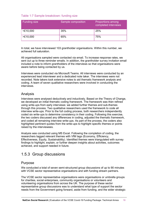#### Table 1:7 Sample breakdown: funding size

| <b>Funding size</b> | Sample composition | <b>Proportions among</b><br>completed interviews |
|---------------------|--------------------|--------------------------------------------------|
| $<$ £10,000         | 35%                | 25%                                              |
| >E10,000            | 65%                | 75%                                              |

In total, we have interviewed 103 grantholder organisations. Within this number, we achieved full saturation.

All organisations sampled were contacted via email. To increase response rates, we sent out up to three reminder emails. In addition, the grantholder survey invitation email included a note to inform grantholders of the interviews so that organisations were aware before being contacted by us.

Interviews were conducted via Microsoft Teams. All interviews were conducted by an experienced lead interviewer and a dedicated note taker. The interviews were not recorded. Note takers took extensive notes to aid thematic framework analysis and coding. A team of seven qualitative researchers were involved in conducting the interviews.

### Analysis

Interviews were analysed deductively and inductively. Based on the Theory of Change, we developed an initial thematic coding framework. The framework was then refined using write-ups from early interviews: we added further themes and sub-themes through this process. Two qualitative researchers used the framework to code all interview write-ups. Prior to the full coding process, both researchers independently coded six write-ups to determine consistency in their coding. Following this exercise, the two coders discussed any differences in coding, adjusted the thematic framework, and coded all remaining interview write-ups. As part of the process, the coders also highlighted pertinent quotes from the write-ups to highlight specific themes or points raised by the interviewees.

Analysis was conducted using MS Excel. Following the completion of coding, the researchers tagged relevant themes with VfM tags (Economy, Efficiency, Effectiveness, Equity, Sustainability). Identified themes were triangulated with survey findings to highlight, explain, or further deepen insights about activities, outcomes achieved, and support needed in future.

# <span id="page-15-0"></span>1.5.3 Group discussions

### Purpose

We conducted a total of seven semi-structured group discussions of up to 90 minutes with VCSE sector representative organisations and with funding stream partners.

The VCSE sector representative organisations were organisations or umbrella groups for charities, social enterprises, community organisations or volunteers and volunteering organisations from across the UK. The purpose of these sector representative group discussions was to understand what type of support the sector needs from the Government going forward, aside from funding, and the wider strategic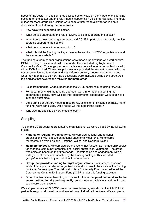needs of the sector. In addition, they elicited sector views on the impact of this funding package on the sector and the role it had in supporting VCSE organisations. The topic guides for these group discussions were semi-structured to allow for an in-depth discussion of the following **thematic areas**:

- How have you supported the sector?
- What do you understand the role of DCMS to be in supporting the sector?
- In the future, how can the government, and DCMS in particular, effectively provide strategic support to the sector?
- What do you not want government to do?
- What role did the funding package have in the survival of VCSE organisations and the sector as a whole?

The funding stream partner organisations were those organisations who worked with DCMS to design, deliver and distribute funds. They included Big Night In and Community Match Challenge partner organisations as well as other organisations with whom DCMS worked. These group discussions provided the evaluation team with the necessary evidence to understand why different delivery models were chosen and what they intended to deliver. The discussions were facilitated using semi-structured topic guides that covered the following **thematic areas:**

- Aside from funding, what support does the VCSE sector require going forward?
- For departments, did the funding approach work in terms of supporting the department's goals? How well did inter-departmental cooperation work to achieve intended outcomes?
- Did a particular delivery model (direct grants, extension of existing contracts, match funding) work particularly well / not so well to support the sector?
- Why was the specific delivery model chosen?

#### Sampling

To sample VCSE sector representative organisations, we were guided by the following criteria:

- **National or regional organisations.** We sampled national and regional organisations, with a focus on national ones for a wider lens. We ensured representation from England, Scotland, Wales, and Northern Ireland.
- **Membership body.** We sampled organisations that function as membership bodies for charities, community organisations, social enterprises, volunteers. The group was selected based on their knowledge, understanding and engagement with a wide group of members impacted by the funding package. This included groups/bodies that lobby on behalf of their members.
- **Group that provides funding to target organisations.** For instance, a sector funder that supports relevant organisations and who would be aware of the funding package. For example, The National Lottery Community Fund, who delivered the Coronavirus Community Support Fund (CCSF) under this funding package.
- Group that isn't a membership group or sector funder but **provides services to the sector both nationally and regionally**, service user organisations and health and social care organisations.

We sampled a total of 29 VCSE sector representative organisations of which 18 took part in three group discussions and two follow-up individual interviews. We sampled a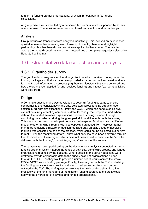total of 16 funding partner organisations, of which 15 took part in four group discussions.

All group discussions were led by a dedicated facilitator who was supported by at least one note taker. The sessions were recorded to aid transcription and full write-ups.

### Analysis

Group discussion transcripts were analysed inductively. This involved an experienced qualitative researcher reviewing each transcript to identify themes and highlight pertinent quotes. No thematic framework was applied to these notes. Themes from across the group discussions were then grouped and accompanying quotes selected to illustrate key findings

# <span id="page-17-0"></span>1.6 Quantitative data collection and analysis

# <span id="page-17-1"></span>1.6.1 Grantholder survey

The grantholder survey was sent to all organisations which received money under the funding package and that we have been provided a named contact and email address for. It gathered information on process (e.g. how services/activities were delivered and how the organisation applied for and received funding) and impact (e.g. what activities were delivered).

### Design

A 20-minute questionnaire was developed to cover all funding streams to ensure comparability and consistency in the data collected across funding streams (see section 1.10), with two exceptions. Firstly, the CCSF, which has conducted its own evaluation survey collecting comparable data. Secondly, the Hospices Fund, where data on the funded activities organisations delivered is being provided through monitoring data collected during the grant period, in addition to through the survey. This change has been made in part because the Hospices Fund has used a different model to other funding streams, with bed capacity purchased from hospices, rather than a grant making structure. In addition, detailed data on daily usage of hospices' facilities was collected as part of the process, which could not be collected in a survey format. Given the monitoring data will show what services have been delivered through the Hospice Fund, these organisations have not been asked to complete the "activities delivered with the funding", "beneficiary groups" sections of the survey.

The survey was developed drawing on the documentary analysis conducted across all funding streams, which mapped the range of activities, beneficiary groups, and funded organisations reached by the package. Where possible, the survey questions were drafted to provide comparable data to the survey asked of organisations funded through the CCSF, so they would provide a uniform set of results across the whole £750m VCSE sector funding package. Finally, it was aligned with the ToC underlying the funding package, to ensure it would inform the key assumptions and outputs outlined in the ToC. The draft questionnaire was then refined through an iterative process with the fund managers of the different funding streams to ensure it would apply to the diverse set of activities and funded organisations.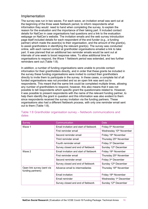# Implementation

The survey was run in two waves. For each wave, an invitation email was sent out at the beginning of the three week fieldwork period, to inform respondents what information they would need to hand when completing the survey, to explain the reason for the evaluation and the importance of their taking part. It included contact details for NatCen in case organisations had questions and a link to the evaluation webpage on NatCen's website. The invitation emails and the web survey introduction page itself included details for each respondent of the end funder (e.g., a funding partner) which made the award(s) to their organisation, and the amount of the grant(s), to assist grantholders in identifying the relevant grant(s). The survey was conducted online, with each named contact at grantholder organisations emailed a link to take part. It was planned that an additional two reminder emails would be sent out at intervals of one week to boost response rates. To allow additional time for organisations to respond, the Wave 1 fieldwork period was extended, and two further reminders sent out (Table 1:8).

In addition, a number of funding organisations were unable to provide contact information for their grantholders directly, and in order that these grants be included in the survey these funding organisations were invited to contact their grantholders directly to invite them to participate in the survey. In these cases, a complete list of all funded organisations was not provided and so an open link was sent out to respondents. This meant that the same link could be completed multiple times, allowing any number of grantholders to respond, however, this also means that it was not possible to tell respondents which specific grant the questionnaire related to. However, it was possible to present respondents with the name of the relevant funding partner, to help them identify the grant in question and this information was also evident to them since respondents received the survey invitation via the funding partners. These organisations also had a different fieldwork process, with only one reminder email sent out to them (Table 1:8).

| Survey                                          | Communication                           | Date                                |  |
|-------------------------------------------------|-----------------------------------------|-------------------------------------|--|
| Wave 1                                          | Email invitation and start of fieldwork | Friday 5 <sup>th</sup> November     |  |
|                                                 | First reminder email                    | Wednesday 10 <sup>th</sup> November |  |
|                                                 | Second reminder email                   | Friday 19th November                |  |
|                                                 | Third reminder email                    | Thursday 25 <sup>th</sup> November  |  |
|                                                 | Fourth reminder email                   | Friday 3 <sup>rd</sup> December     |  |
|                                                 | Survey closed and end of fieldwork      | Sunday 12 <sup>th</sup> December    |  |
| Wave 2                                          | Email invitation and start of fieldwork | Friday 19th November                |  |
|                                                 | First reminder email                    | Thursday 25 <sup>th</sup> November  |  |
|                                                 | Second reminder email                   | Friday 3 <sup>rd</sup> December     |  |
|                                                 | Survey closed and end of fieldwork      | Sunday 12 <sup>th</sup> December    |  |
| Open link survey (sent via<br>funding partners) | Advance email to intermediaries         | Thursday 18 <sup>th</sup> November  |  |
|                                                 | Email invitation                        | Friday 19 <sup>th</sup> November    |  |
|                                                 | Email reminder                          | Wednesday 1 <sup>st</sup> December  |  |
|                                                 | Survey closed and end of fieldwork      | Sunday 12th December                |  |

#### Table 1:8 Grantholder organisation survey – fieldwork communications and dates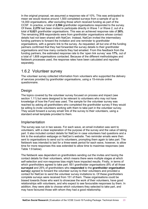In the original proposal, we assumed a response rate of 10%. This was anticipated to mean we would receive around 1,500 completed surveys from a sample of up to 14,000 organisations, after excluding those which received funding as part of the CCSF. In practice, a total of **2,594** grantholder organisations responded to the survey. Of these, **2,279** had been invited to participate directly in Wave 1 or Wave 2, out of a total of **8,621** grantholder organisations. This was an achieved response rate of **26%**. The remaining **315** respondents were from grantholder organisations whose contact details had not been shared with NatCen. Instead, NatCen invited the intermediary funding partners to forward the invitation and one reminder to grantholder organisations, with a generic link to the survey. As requested, all but one of the funding partners confirmed that they had forwarded the survey details to their grantholder organisations and how many contacts they had emailed. From this feedback from the funding partners, the estimated response rate to the 'open link survey' was **17%**, out of a total of 1,808 organisations contacted. Because of the different methodologies and fieldwork processes used, the response rates have been calculated and reported separately.

# <span id="page-19-0"></span>1.6.2 Volunteer survey

The volunteer survey collected information from volunteers who supported the delivery of services provided by grantholder organisations, using a 15-minute online questionnaire.

# **Design**

The topics covered by the volunteer survey focused on process and impact (see section 1.11) but were designed to be relevant to volunteers who may not have knowledge of how the Fund was used. The sample for the volunteer survey was reached by asking all grantholders who completed the grantholder survey if they would be willing to invite volunteers working with them to take part in the volunteer survey. They would forward a survey email/ link of the survey to their volunteers, using a standard email template provided to them.

### Implementation

The survey was run in two waves. For each wave, an email invitation was sent to volunteers, with a clear explanation of the purpose of the survey and the value of taking part. It also included contact details for NatCen in case volunteers had questions and a link to the evaluation webpage on NatCen's website. Two reminder emails were then sent to organisations to send out to volunteers, prompting them again to take part. The fieldwork was intended to last for a three-week period for each wave, however, to allow time for more responses this was extended to allow time to maximise responses (see Table 1:9 below).

The fieldwork was dependent on grantholders sending out the invites and having the contact details for their volunteers, which means there were multiple stages at which self-selection and non-response bias might have impacted results. Firstly, in terms of which grantholders agreed to take part. 651 grantholder organisations (8% of all those **surveyed** and 25% of grantholders who **responded** to the **grantholder organisation survey**) agreed to forward the volunteer survey to their volunteers and provided a contact for NatCen to send the volunteer survey invitations to. Of these grantholders complete surveys were received from 151 of them. These organisations could be biased towards those who want to showcase the work of their volunteers, have good relationships with volunteers, and who expect to see favourable responses by them. In addition, they were able to choose which volunteers they selected to take part, and may have favoured those with whom they had a good relationship.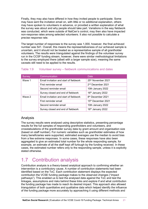Finally, they may also have differed in how they invited people to participate. Some may have sent the invitation email on, with little or no additional explanation, others may have spoken to volunteers in advance, or provided a written explanation of what the survey was about and why people should take part. Variations in the way fieldwork was conducted, which were outside of NatCen's control, may then also have impacted non-response rates among selected volunteers. It also not possible to calculate a precise response rate.

The target number of responses to the survey was 1,000, however, the final achieved number was 541. Overall, this means the representativeness of our achieved sample is uncertain, and it should not be treated as a representative sample of all grantholder volunteers. The results were triangulated against the findings of the volunteer survey run in the CCSF funding stream, however, there were similar methodological limitations to the survey employed there (albeit with a larger sample size), meaning the same caveats still need to be applied to the results.

| Survey | Communication                           | <b>Date</b>                    |
|--------|-----------------------------------------|--------------------------------|
| Wave 1 | Email invitation and start of fieldwork | 25 <sup>th</sup> November 2021 |
|        | First reminder email                    | 2 <sup>nd</sup> December 2021  |
|        | Second reminder email                   | 10th January 2022              |
|        | Survey closed and end of fieldwork      | 16 <sup>th</sup> January 2022  |
| Wave 2 | Email invitation and start of fieldwork | 8 <sup>th</sup> December 2021  |
|        | First reminder email                    | 15th December 2021             |
|        | Second reminder email                   | 10th January 2022              |
|        | Survey closed and end of fieldwork      | 16th January 2022              |

#### Table 1:9 Volunteer survey – fieldwork communications and dates

# Analysis

The survey results were analysed using descriptive statistics, presenting percentage results for the full samples of responding grantholders and volunteers, and crosstabulations of the grantholder survey data by grant amount and organisation size (based on staff number). For numeric variables such as grantholder estimates of how many beneficiaries were supported, estimated averages use the median to avoid bias from a few extreme responses. In some cases, these responses have also been aggregated to give an estimated total number for the whole responding sample, for example, an estimate of all the staff kept off furlough by the funding received. In these cases, the estimated number refers only to the responding sample, unless it is explicitly stated otherwise.

# <span id="page-20-0"></span>1.7 Contribution analysis

Contribution analysis is a theory-based analytical approach to confirming whether an intervention is a contributory cause. A number of contribution statements had been identified based on the ToC. Each contribution statement displays the expected contribution the VCSE funding package makes to the observed changes ("impact pathways"). This enabled us to test the analysed data against the ToC and test the linkages, assumptions and risks behind these links and explore if and what contribution the funding package has made to reach its desired impact. This approach also allowed triangulation of both quantitative and qualitative data which helped identify the influence of the funding package more accurately by approaching it using different methods and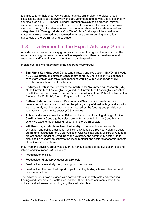techniques (grantholder survey, volunteer survey, grantholder interviews, group discussions, case study interviews with staff, volunteers and service users, secondary sources such as CCSF impact findings). Through this synthesis process, relevant evidence that may support or conflict with each of the contribution statement(s) was identified. Strength of evidence for each contribution statement was determined and categorised into 'Strong', 'Moderate' or 'Weak'. As a final step, all the contribution statements were reviewed and examined to assess the overarching evaluation hypothesis of the VCSE funding package.

# <span id="page-21-0"></span>1.8 Involvement of the Expert Advisory Group

An independent expert advisory group was consulted throughout the evaluation. The expert advisory group was made up of five experts who offered extensive sectoral experience and/or evaluation and methodological expertise.

Please see below for members of the expert advisory group:

- **Sini Rinne-Kerridge**, Lead Consultant (strategy and evaluation), **NCVO.** Sini leads NCVO evaluation and strategy consultancy portfolio. She is a highly experienced consultant with an extensive track record of working with a wide range of civil society organisations and their funders.
- **Dr Jurgen Grotz** is the Director of the **Institute for Volunteering Research** (IVR) at the University of East Anglia. He joined the University of East Anglia, School of Health Sciences as Senior Research Associate in Patient and Public Involvement in Research for CLAHRC, East of England in August 2017.
- **Nathan Hudson** is a Research Director at **NatCen.** He is a mixed-methods researcher with expertise in the interdisciplinary study of disadvantage and equality. He is currently leading several projects focused on the funding and provision of voluntary and community sector (VCS) services.
- **Rebecca Moran** is currently the Evidence, Impact and Learning Manager for the **Cardinal Hume Centre** (a homeless prevention charity in London) and brings extensive experience of leading research in the VCSE sector.
- **Will Rossiter**, **Nottingham Trent University**, is an experienced research, evaluation and policy practitioner. Will currently leads a three-year voluntary sector programme evaluation for DCMS (Office of Civil Society) and a UKRI/ESRC-funded project on the impact of Covid-19 on the voluntary and community sector. He is also leading research to estimate the local, regional and sectoral economic impacts of the Covid-19 pandemic

Input from the advisory group was sought at various stages of the evaluation (scoping, interim and final reporting), including:

- Feedback on the ToC
- Feedback on draft survey questionnaire tools
- Feedback on case study design and group discussions
- Feedback on the draft final report, in particular key findings, lessons learned and recommendations

The advisory group was provided with early drafts of research tools and emerging findings and they provided written feedback on them. These comments were then collated and addressed accordingly by the evaluation team.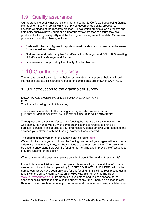# <span id="page-22-0"></span>1.9 Quality assurance

Our approach to quality assurance is underpinned by NatCen's well-developing Quality Management System (QMS), which comprises documented quality procedures covering all stages of the research process. All evaluation outputs such as reports and data sets/ analysis have undergone a rigorous review process to ensure they are produced to the highest quality and the findings accurately reflect the data. Our review process includes the following activities:

- Systematic checks of figures in reports against the data and cross-checks between figures in text and tables.
- First and second reviews by NatCen (Evaluation Manager) and RSM UK Consulting LLP (Evaluation Manager and Partner).
- Final review and approval by the Quality Director (NatCen).

# <span id="page-22-1"></span>1.10 Grantholder survey

The full questionnaire sent to grantholder organisations is presented below. All routing instructions and text fill instructions based on sample data are shown in CAPITALS.

# 1.10.1 Introduction to the grantholder survey

#### SHOW TO ALL EXCEPT HOSPICES FUND ORGANISATIONS **Intro**

Thank you for taking part in this survey.

This survey is in relation to the funding your organisation received from: [INSERT FUNDING SOURCE, VALUE OF FUNDS, AND DATE GRANTED].

Throughout the survey we refer to grant funding, but we are aware the way funding was distributed varied widely, with some organisations contracted to provide a particular service. If this applies to your organisation, please answer with respect to the services you delivered with the funding, however it was received.

The original announcement of this funding can be found [here.](https://www.gov.uk/government/news/chancellor-sets-out-extra-750-million-coronavirus-funding-for-frontline-charities)

We would like to ask you about how the funding has helped your organisation and what difference it has made, if any, for the services or activities you deliver. The results will be used to understand how well the funding met its aims and improve the effectiveness of future funding for the sector.

When answering the questions, please only think about [this funding/these grants].

It should take about 20 minutes to complete this survey if you have all the information needed and it should be completed by [INSERT CONTACT NAME HERE], who is the named contact we have been provided for this funding. If this is incorrect, please get in touch with the survey team at NatCen on **0800 652 0601** or by emailing us at [VCSEsurvey@naten.ac.uk.](mailto:VCSEsurvey@naten.ac.uk) Participation is voluntary, and you can choose not to answer specific questions or to stop the survey at any time. There is an option to click **Save and continue later** to save your answers and continue the survey at a later time.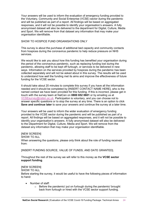Your answers will be used to inform the evaluation of emergency funding provided to the Voluntary, Community and Social Enterprise (VCSE) sector during the pandemic and will be published as part of a report. All findings will be based on aggregated responses, and it will not be possible to identify your organisation's answers. A fully anonymised dataset will also be delivered to the department for Digital, Culture, Media and Sport. We will remove from that dataset any information that may make your organisation identifiable.

#### SHOW TO HOSPICE FUND ORGANISATIONS ONLY

This survey is about the purchase of additional bed capacity and community contacts from hospices during the coronavirus pandemic to help reduce pressure on NHS services.

We would like to ask you about how this funding has benefited your organisation during the period of the coronavirus pandemic, such as replacing funding lost during the pandemic, allowing staff to be kept off furlough, or services to be delivered in new ways. Information on the services provided by hospices during the pandemic has been collected separately and will not be asked about in this survey. The results will be used to understand how well the funding met its aims and improve the effectiveness of future funding for the VCSE sector.

It should take about 20 minutes to complete this survey if you have all the information needed and it should be completed by [INSERT CONTACT NAME HERE], who is the named contact we have been provided for this funding. If this is incorrect, please get in touch with the survey team at NatCen on **0800 652 0601** or by emailing us at [VCSEsurvey@naten.ac.uk.](mailto:VCSEsurvey@naten.ac.uk) Participation is voluntary, and you can choose not to answer specific questions or to stop the survey at any time. There is an option to click **Save and continue later** to save your answers and continue the survey at a later time.

Your answers will be used to inform the wider evaluation of emergency funding provided to the VCSE sector during the pandemic and will be published as part of a report. All findings will be based on aggregated responses, and it will not be possible to identify your organisation's answers. A fully anonymised dataset will also be delivered to the Department for Digital, Culture, Media and Sport. We will remove from the dataset any information that may make your organisation identifiable.

#### [NEW SCREEN]

SHOW TO ALL

When answering the questions, please only think about the role of funding received from:

[INSERT FUNDING SOURCE, VALUE OF FUNDS, AND DATE GRANTED].

Throughout the rest of the survey we will refer to this money as the **VCSE sector support funding**.

# [NEW SCREEN]

SHOW TO ALL

Before starting the survey, it would be useful to have the following pieces of information to hand:

- Number of staff:
	- o Before the pandemic/ put on furlough during the pandemic/ brought back from furlough or hired with the VCSE sector support funding.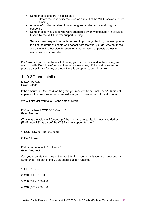- Number of volunteers (if applicable):<br>  $\circ$  Before the pandemic/ recruite
	- Before the pandemic/ recruited as a result of the VCSE sector support funding.
- Amount of funding received from other grant funding sources during the pandemic
- Number of service users who were supported by or who took part in activities funded by the VCSE sector support funding.

Service users may not be the term used in your organisation, however, please think of the group of people who benefit from the work you do, whether these are patients in a hospice, listeners of a radio station, or people accessing resources from a website.

Don't worry if you do not have all of these, you can still respond to the survey, and respond with "Don't know" to questions where necessary. If it would be easier to provide an estimate for any of these, there is an option to do this as well.

# 1.10.2Grant details

#### SHOW TO ALL **GrantDetails**

If the amount in £ (pounds) for the grant you received from {EndFunder1-9} did not appear on the previous screens, we will ask you to provide that information now.

We will also ask you to tell us the date of award.

#### IF Grant = N/A; LOOP FOR Grant1-9 **GrantAmount**

What was the value in  $E$  (pounds) of the grant your organisation was awarded by {EndFunder1-9} as part of the VCSE sector support funding?

- 1. NUMERIC [0…100,000,000]
- 2. Don't know

IF GrantAmount – 2 'Don't know' **GrantAmount2**

Can you estimate the value of the grant funding your organisation was awarded by [EndFunder] as part of the VCSE sector support funding?

- 1. £1 £10,000
- 2. £10,001 £50,000
- 3. £50,001 £100,000
- 4. £100,001 £300,000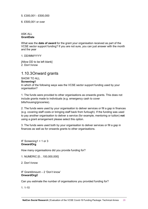5. £300,001 - £500,000

6. £500,001 or over

#### ASK ALL **GrantDate**

What was the **date of award** for the grant your organisation received as part of the VCSE sector support funding? If you are not sure, you can just answer with the month and the year

1. DD/MM/YYYY

[Allow DD to be left blank] 2. Don't know

# 1.10.3Onward grants

SHOW TO ALL

#### **Screening1**

In which of the following ways was the VCSE sector support funding used by your organisation?

1. The funds were provided to other organisations as onwards grants. This does not include grants made to individuals (e.g. emergency cash to cover bills/housing/groceries).

2. The funds were used by your organisation to deliver services or fill a gap in finances (e.g. covering staff costs or bringing staff back from furlough). If the funding was used to pay another organisation to deliver a service (for example, mentoring or tuition) **not** using a grant arrangement please select this option.

3. The funds were used both by your organisation to deliver services or fill a gap in finances as well as for onwards grants to other organisations.

IF Screening1 = 1 or 3 **OnwardOrg**

How many organisations did you provide funding for?

1. NUMERIC [0…100,000,000]

2. Don't know

IF GrantAmount – 2 'Don't know' **OnwardOrg2**

Can you estimate the number of organisations you provided funding for?

 $1.10$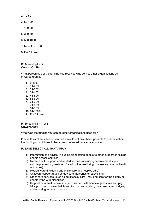- 2. 10-50
- 3. 50-100
- 4. 100-300
- 5. 300-500
- 6. 500-1000
- 7. More than 1000
- 8. Don't know

#### IF Screening1 = 3 **OnwardOrgPerc**

What percentage of the funding you received was sent to other organisations as onwards grants?

- 1. 0-10%
- 2. 11-20%
- 3. 21-30%
- 4. 31-40%
- 5. 41-50%
- 6. 51-60%
- 7. 61-70%
- 8. 71-80%
- 9. 81-90%
- 10. 91-100%
- 11. Don't know.

IF Screening1 = 1 or 3 **OnwardActiv**

What was the funding you sent to other organisations used for?

Please think of activities or services it would not have been possible to deliver without the funding or which would have been delivered on a smaller scale.

PLEASE SELECT ALL THAT APPLY

- 1) Information and advice (including signposting people to other support or helping people access services)
- 2) Mental health support and related services (including bereavement support, suicide prevention, treatment for addiction, wellbeing courses and mental health resources)
- 3) Medical care (including end of life care and hospice care)
- 4) Childcare support (such as day care, nurseries or babysitting)
- 5) Other care services (such as adult social care, including care for the elderly or people living with disabilities)
- 6) Help with material deprivation (such as help with financial pressures and pay bills, provision of essential items like food and clothing, or cookers and fridges, and ensuring access to housing)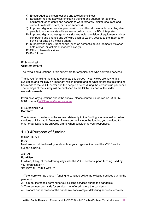- 7) Encouraged social connections and tackled loneliness
- 8) Education related activities (including training and support for teachers, equipment for students and schools to work remotely, digital resources and curriculum development, or tuition services)
- 9) Improved digital access for people with disabilities (for example, enabling deaf people to communicate with someone online through a BSL interpreter)
- 10) Improved digital access generally (for example, provision of equipment such as computers and phones and software such as Zoom, access to the internet, or paying for data on a mobile phone)
- 11) Support with other urgent needs (such as domestic abuse, domestic violence, hate crimes, or victims of modern slavery)
- 12) Other (please describe)
- 13) Don't know

#### IF Screening1 = 1 **GrantholderEnd**

The remaining questions in this survey are for organisations who delivered services.

Thank you for taking the time to complete this survey – your views are key to this evaluation and will play an important role in understanding what difference this funding has made to the VCSE sector and the people it helps during the coronavirus pandemic. The findings of the survey will be published by the DCMS as part of the wider evaluation results.

If you have any questions about the survey, please contact us for free on 0800 652 0601 or email [VCSEsurvey@natcen.ac.uk.](mailto:VCSEsurvey@natcen.ac.uk)

IF Screening1 = 3 **BothIntro**

The following questions in the survey relate only to the funding you received to deliver services or fill a gap in finances. Please do not include the funding you provided to other organisations as onwards grants when considering your responses.

# 1.10.4 Purpose of funding

SHOW TO ALL

#### **Intro1**

Next, we would like to ask you about how your organisation used the VCSE sector support funding.

#### ASK ALL

#### **FundUse**

In which, if any, of the following ways was the VCSE sector support funding used by your organisation?

SELECT ALL THAT APPLY

1) To ensure we had enough funding to continue delivering existing services during the pandemic

2) To meet increased demand for our existing services during the pandemic

3) To meet new demands for services not offered before the pandemic

4) To adapt our services for the pandemic (for example, delivering services remotely,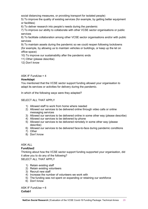social distancing measures, or providing transport for isolated people)

5) To improve the quality of existing services (for example, by getting better equipment or facilities)

6) To deliver research into people's needs during the pandemic

7) To improve our ability to collaborate with other VCSE sector organisations or public services

8) To facilitate collaboration among other VCSE sector organisations and/or with public services

9) To maintain assets during the pandemic so we could reopen following lockdowns (for example, by allowing us to maintain vehicles or buildings, or keep up the let on office space)

10) To improve our sustainability after the pandemic ends

11) Other (please describe)

12) Don't know

ASK IF FundUse = 4

#### **HowAdapt**

You mentioned that the VCSE sector support funding allowed your organisation to adapt its services or activities for delivery during the pandemic.

In which of the following ways were they adapted?

#### SELECT ALL THAT APPLY

- 1) Allowed staff to work from home where needed
- 2) Allowed our services to be delivered online through video calls or online messaging services
- 3) Allowed our services to be delivered online in some other way (please describe)
- 4) Allowed our services to be delivered by phone
- 5) Allowed our services to be delivered remotely in some other way (please describe)
- 6) Allowed our services to be delivered face-to-face during pandemic conditions
- 7) Other
- 8) Don't know

#### ASK ALL

#### **FundUse2**

Thinking about how the VCSE sector support funding supported your organisation, did it allow you to do any of the following?

SELECT ALL THAT APPLY

- 1) Retain existing staff
- 2) Retain existing volunteers
- 3) Recruit new staff
- 4) Increase the number of volunteers we work with
- 5) The funding was not spent on expanding or retaining our workforce
- 6) Don't know

ASK IF FundUse = 6 **Collab1**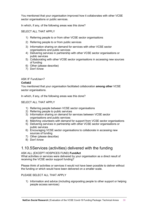You mentioned that your organisation improved how it collaborates with other VCSE sector organisations or public services.

In which, if any, of the following areas was this done?

#### SELECT ALL THAT APPLY

- 1) Referring people to or from other VCSE sector organisations
- 2) Referring people to or from public services
- 3) Information sharing on demand for services with other VCSE sector organisations and public services
- 4) Delivering services in partnership with other VCSE sector organisations or public services
- 5) Collaborating with other VCSE sector organisations in accessing new sources of funding
- 6) Other (please describe)
- 7) Don't know

#### ASK IF FundUse=7

#### **Collab2**

You mentioned that your organisation facilitated collaboration **among other** VCSE sector organisations.

In which, if any, of the following areas was this done?

#### SELECT ALL THAT APPLY

- 1) Referring people between VCSE sector organisations
- 2) Referring people to public services
- 3) Information sharing on demand for services between VCSE sector organisations and public services
- 4) Matching volunteers with demand for support from VCSE sector organisations
- 5) Delivering services in partnership with other VCSE sector organisations or public services
- 6) Encouraging VCSE sector organisations to collaborate in accessing new sources of funding
- 7) Other (please describe)
- 8) Don't know

# 1.10.5Services (activities) delivered with the funding

#### ASK ALL (EXCEPT HOSPICES FUND) **FundAct**

What activities or services were delivered by your organisation as a direct result of receiving the VCSE sector support funding?

Please think of activities or services it would not have been possible to deliver without the funding or which would have been delivered on a smaller scale.

#### PLEASE SELECT ALL THAT APPLY

1) Information and advice (including signposting people to other support or helping people access services)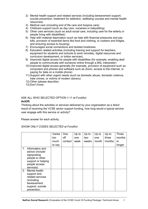- 2) Mental health support and related services (including bereavement support, suicide prevention, treatment for addiction, wellbeing courses and mental health resources)
- 3) Medical care (including end of life care and hospice care)
- 4) Childcare support (such as day care, nurseries or babysitting)
- 5) Other care services (such as adult social care, including care for the elderly or people living with disabilities)
- 6) Help with material deprivation (such as help with financial pressures and pay bills, provision of essential items like food and clothing, or cookers and fridges, and ensuring access to housing)
- 7) Encouraged social connections and tackled loneliness
- 8) Education related activities (including training and support for teachers, equipment for students and schools to work remotely, digital resources and curriculum development, or tuition services)
- 9) Improved digital access for people with disabilities (for example, enabling deaf people to communicate with someone online through a BSL interpreter)
- 10) Improved digital access generally (for example, provision of equipment such as computers and phones and software such as Zoom, access to the internet, or paying for data on a mobile phone)
- 11) Support with other urgent needs (such as domestic abuse, domestic violence, hate crimes, or victims of modern slavery)
- 12) Other (please describe)
- 13) Don't know

#### ASK ALL WHO SELECTED OPTION 1-11 at FundAct

#### **ActOft**

Thinking about the activities or services delivered by your organisation as a direct result of receiving the VCSE sector support funding, how long would a typical service user engage with this service or activity?

Please answer for each activity.

#### *SHOW ONLY CODES SELECTED at FundAct*

|                |                                                                                                                          | Varies | One     | Up to | Up to | Up to | Up to  | Three  |
|----------------|--------------------------------------------------------------------------------------------------------------------------|--------|---------|-------|-------|-------|--------|--------|
|                |                                                                                                                          | too    | off     | one   | two   | one   | three  | months |
|                |                                                                                                                          | much   | contact | week  | weeks | month | months | or     |
|                |                                                                                                                          | to say |         |       |       |       |        | longer |
| $\mathbf{1}$ . | Information and<br>advice (include<br>signposting<br>people to other<br>support or helping<br>people access<br>services) |        |         |       |       |       |        |        |
| 2.             | Mental health<br>support and<br>related services<br>(including<br>bereavement<br>support, suicide<br>prevention,         |        |         |       |       |       |        |        |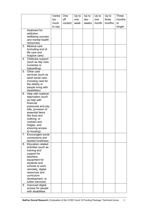|    |                                         | Varies | One     | Up to | Up to | Up to | Up to  | <b>Three</b> |
|----|-----------------------------------------|--------|---------|-------|-------|-------|--------|--------------|
|    |                                         | too    | off     | one   | two   | one   | three  | months       |
|    |                                         | much   | contact | week  | weeks | month | months | or           |
|    |                                         | to say |         |       |       |       |        | longer       |
|    | treatment for                           |        |         |       |       |       |        |              |
|    | addiction,                              |        |         |       |       |       |        |              |
|    | wellbeing courses                       |        |         |       |       |       |        |              |
|    | and mental health                       |        |         |       |       |       |        |              |
|    | resources)                              |        |         |       |       |       |        |              |
| 3. | Medical care                            |        |         |       |       |       |        |              |
|    | (including end of                       |        |         |       |       |       |        |              |
|    | life care and                           |        |         |       |       |       |        |              |
|    | hospice care)                           |        |         |       |       |       |        |              |
| 4. | Childcare support                       |        |         |       |       |       |        |              |
|    | (such as day care,                      |        |         |       |       |       |        |              |
|    | nurseries or                            |        |         |       |       |       |        |              |
|    | babysitting)                            |        |         |       |       |       |        |              |
| 5. | Other care                              |        |         |       |       |       |        |              |
|    | services (such as<br>adult social care, |        |         |       |       |       |        |              |
|    | including care for                      |        |         |       |       |       |        |              |
|    | the elderly or                          |        |         |       |       |       |        |              |
|    | people living with                      |        |         |       |       |       |        |              |
|    | disabilities)                           |        |         |       |       |       |        |              |
| 6. | Help with material                      |        |         |       |       |       |        |              |
|    | deprivation (such                       |        |         |       |       |       |        |              |
|    | as help with                            |        |         |       |       |       |        |              |
|    | financial                               |        |         |       |       |       |        |              |
|    | pressures and pay                       |        |         |       |       |       |        |              |
|    | bills, provision of                     |        |         |       |       |       |        |              |
|    | essential items                         |        |         |       |       |       |        |              |
|    | like food and                           |        |         |       |       |       |        |              |
|    | clothing, or                            |        |         |       |       |       |        |              |
|    | cookers and                             |        |         |       |       |       |        |              |
|    | fridges, and                            |        |         |       |       |       |        |              |
|    | ensuring access<br>to housing)          |        |         |       |       |       |        |              |
| 7. | Encouraged social                       |        |         |       |       |       |        |              |
|    | connections and                         |        |         |       |       |       |        |              |
|    | tackled loneliness                      |        |         |       |       |       |        |              |
| 8. | <b>Education related</b>                |        |         |       |       |       |        |              |
|    | activities (such as                     |        |         |       |       |       |        |              |
|    | training and                            |        |         |       |       |       |        |              |
|    | support for                             |        |         |       |       |       |        |              |
|    | teachers,                               |        |         |       |       |       |        |              |
|    | equipment for                           |        |         |       |       |       |        |              |
|    | students and                            |        |         |       |       |       |        |              |
|    | schools to work                         |        |         |       |       |       |        |              |
|    | remotely, digital                       |        |         |       |       |       |        |              |
|    | resources and<br>curriculum             |        |         |       |       |       |        |              |
|    | development, or                         |        |         |       |       |       |        |              |
|    | tuition services)                       |        |         |       |       |       |        |              |
| 9. | Improved digital                        |        |         |       |       |       |        |              |
|    | access for people                       |        |         |       |       |       |        |              |
|    | with disabilities                       |        |         |       |       |       |        |              |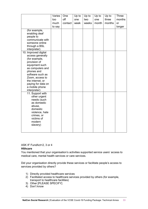|                                                                                                                                                                                                                                                                                                                                                        | Varies | One     | Up to | Up to | Up to | Up to  | <b>Three</b> |
|--------------------------------------------------------------------------------------------------------------------------------------------------------------------------------------------------------------------------------------------------------------------------------------------------------------------------------------------------------|--------|---------|-------|-------|-------|--------|--------------|
|                                                                                                                                                                                                                                                                                                                                                        | too    | off     | one   | two   | one   | three  | months       |
|                                                                                                                                                                                                                                                                                                                                                        | much   | contact | week  | weeks | month | months | or           |
|                                                                                                                                                                                                                                                                                                                                                        | to say |         |       |       |       |        | longer       |
| (for example,<br>enabling deaf<br>people to<br>communicate with<br>someone online<br>through a BSL<br>interpreter)<br>10. Improved digital<br>access generally<br>(for example,<br>provision of<br>equipment such<br>as computers and<br>phones and<br>software such as<br>Zoom, access to<br>the internet, or<br>paying for data on<br>a mobile phone |        |         |       |       |       |        |              |
| interpreter)<br>11. Support with<br>other urgent<br>needs (such<br>as domestic<br>abuse,<br>domestic<br>violence, hate<br>crimes, or<br>victims of<br>modern<br>slavery)                                                                                                                                                                               |        |         |       |       |       |        |              |

#### ASK IF FundAct=2, 3 or 4

#### **Hlthcare**

You mentioned that your organisation's activities supported service users' access to medical care, mental health services or care services.

Did your organisation directly provide these services or facilitate people's access to services provided by others?

- 1) Directly provided healthcare services
- 2) Facilitated access to healthcare services provided by others (for example, transport to healthcare facilities)
- 3) Other [PLEASE SPECIFY]
- 4) Don't know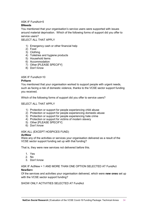#### ASK IF FundAct=5

#### **BNeeds**

You mentioned that your organisation's service users were supported with issues around material deprivation. Which of the following forms of support did you offer to service users?

SELECT ALL THAT APPLY

- 1) Emergency cash or other financial help
- 2) Food
- 3) Clothing
- 4) Toiletries and hygiene products
- 5) Household items
- 6) Accommodation
- 7) Other [PLEASE SPECIFY]
- 8) Don't know

#### ASK IF FundAct=10

#### **PrHarm**

You mentioned that your organisation worked to support people with urgent needs, such as facing a risk of domestic violence, thanks to the VCSE sector support funding you received.

Which of the following forms of support did you offer to service users?

#### SELECT ALL THAT APPLY

- 1) Protection or support for people experiencing child abuse
- 2) Protection or support for people experiencing domestic abuse
- 3) Protection or support for people experiencing hate crime
- 4) Protection or support for victims of modern slavery
- 5) Other [PLEASE SPECIFY]
- 6) Don't know

ASK ALL (EXCEPT HOSPICES FUND)

#### **ActNew**

Were any of the activities or services your organisation delivered as a result of the VCSE sector support funding set up with that funding?

That is, they were new services not delivered before this.

- 1. Yes
- 2. No
- 3. Don't know

#### ASK IF ActNew = 1 AND MORE THAN ONE OPTION SELECTED AT FundAct **NewServ**

Of the services and activities your organisation delivered, which were **new ones** set up with the VCSE sector support funding?

#### SHOW ONLY ACTIVITIES SELECTED AT FundAct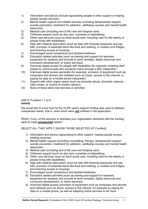- 1) Information and advice (include signposting people to other support or helping people access services)
- 2) Mental health support and related services (including bereavement support, suicide prevention, treatment for addiction, wellbeing courses and mental health resources)
- 3) Medical care (including end of life care and hospice care)<br>4) Childcare support (such as day care, nurseries or babysitt
- 4) Childcare support (such as day care, nurseries or babysitting)<br>5) Other care services (such as adult social care, including care f
- 5) Other care services (such as adult social care, including care for the elderly or people living with disabilities)
- 6) Help with material deprivation (such as help with financial pressures and pay bills, provision of essential items like food and clothing, or cookers and fridges, and ensuring access to housing)
- 7) Encouraged social connections and tackled loneliness<br>8) Education related activities (such as training and support
- Education related activities (such as training and support for teachers, equipment for students and schools to work remotely, digital resources and curriculum development, or tuition services)
- 9) Improved digital access for people with disabilities (for example, enabling deaf people to communicate with someone online through a BSL interpreter)
- 10) Improved digital access generally (for example, provision of equipment such as computers and phones and software such as Zoom, access to the internet, or paying for data on a mobile phone interpreter)
- 11) Support with other urgent needs (such as domestic abuse, domestic violence, hate crimes, or victims of modern slavery)
- 12) None of these were new services or activities

#### ASK IF FundAct =  $1$  to  $8$ **Intent2**

We would like to know how far the VCSE sector support funding was used to address unexpected needs, that is, ones which were **not** outlined in the application.

Which, if any, of the services or activities your organisation delivered with the funding, were to meet **unexpected** needs?

SELECT ALL THAT APPLY [SHOW THOSE SELECTED AT FundAct]

- 1) Information and advice (signposting to other support, helping people access existing services)
- 2) Mental health support (including counselling, therapy, bereavement support, suicide prevention, treatment for addiction, wellbeing courses and mental health resources)
- 3) Medical care (including end of life care and hospice care)
- 4) Childcare support (such as day care, nurseries or babysitting)
- 5) Other care services (such as adult social care, including care for the elderly or people living with disabilities)
- 6) Help with material deprivation (such as help with financial pressures and pay bills, provision of essential items like food and clothing, or cookers and fridges, and ensuring access to housing)
- 7) Encouraged social connections and tackled loneliness
- 8) Education related activities (such as training and support for teachers, equipment for students and schools to work remotely, digital resources and curriculum development, or tuition services)
- 9) Improved digital access (provision of equipment such as computers and phones and software such as Zoom, access to the internet, for example by paying for data on a mobile phone, as well as adapting online services to be more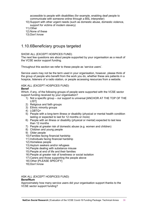accessible to people with disabilities (for example, enabling deaf people to communicate with someone online through a BSL interpreter)

- 10) Support with other urgent needs (such as domestic abuse, domestic violence, support for victims of modern slavery)
- 11) Other
- 12) None of these
- 13) Don't know

# 1.10.6Beneficiary groups targeted

#### SHOW ALL (EXCEPT HOSPICES FUND)

The next few questions are about people supported by your organisation as a result of the VCSE sector support funding.

Throughout this section we refer to these people as 'service users'.

Service users may not be the term used in your organisation, however, please think of the group of people who benefit from the work you do, whether these are patients in a hospice, listeners of a radio station, or people accessing resources from a website.

#### ASK ALL (EXCEPT HOSPICES FUND)

#### **Benef**

Which, if any, of the following groups of people were supported with the VCSE sector support funding received by your organisation?

- 1) Not a specific group our support is universal [ANCHOR AT THE TOP OF THE LIST]
- 2) Religious and faith groups
- 3) Ethnic minority groups
- 4) LGBTQ+
- 5) People with a long-term illness or disability (physical or mental health condition lasting or expected to last for 12 months or more)
- 6) People with an illness or disability (physical or mental) expected to last less than 12 months
- 7) People at greater risk of domestic abuse (e.g. women and children)
- 8) Children and young people
- 9) Older people
- 10) Families facing financial hardship
- 11) Individuals facing financial hardship
- 12) Homeless people
- 13) Asylum seekers and/or refugees
- 14) People dealing with substance misuse
- 15) People at end of life and their families
- 16) People at greater risk of loneliness or social isolation
- 17) Carers and those supporting the people above
- 18) Other [PLEASE SPECIFY]
- 19) Don't know

#### ASK ALL (EXCEPT HOSPICES FUND)

#### **BenefNum**

Approximately how many service users did your organisation support thanks to the VCSE sector support funding?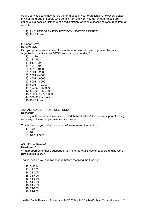Again, service users may not be the term used in your organisation, however, please think of the group of people who benefit from the work you do, whether these are patients in a hospice, listeners of a radio station, or people accessing resources from a website .

- 1) [INCLUDE OPEN END TEXT BOX. LIMIT TO 8 DIGITS]
- 2) Don't know

#### IF BenefNum=2

#### **BenefNumA**

Can you provide an estimate of the number of service users supported by your organisation thanks to the VCSE sector support funding?

- 1)  $1 10$
- 2)  $11 50$ 3)  $51 - 100$ 4) 101 – 500 5) 501 – 1000 6) 1001 – 2000  $7)$  2001 – 4000
- 8) 4001 6000 9) 6001 – 8000 10) 8001 – 10,000 11) 10,000 – 50,000 12) 50,001 – 100,000 13) 100,001 – 500,000 14) 500,001 or more 15) Don't know

#### ASK ALL (EXCEPT HOSPICES FUND)

#### **NewBenef**

Thinking of those service users supported thanks to the VCSE sector support funding, were any of these people **new** service users?

That is, people you did not engage before receiving the funding.

- 1) Yes
- 2) No
- 3) Don't know

# ASK IF NewBenef=1

#### **NewBenefA**

What proportion of those supported thanks to the VCSE sector support funding were **new** service users?

That is, people you did **not** engage before receiving the funding?

12. 0-10% 13. 11-20% 14. 21-30% 15. 31-40% 16. 41-50% 17. 51-60% 18. 61-70% 19. 71-80% 20. 81-90%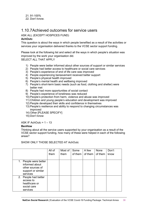21. 91-100% 22. Don't know.

# 1.10.7Achieved outcomes for service users

#### ASK ALL (EXCEPT HOSPICES FUND)

#### **AchOutc**

This question is about the ways in which people benefited as a result of the activities or services your organisation delivered thanks to the VCSE sector support funding.

Please look at the following list and select all the ways in which people's situation was improved by the work your organisation did. SELECT ALL THAT APPLY

- 1) People were better informed about other sources of support or similar services
- 2) People had better access to healthcare or social care services
- 3) People's experience of end of life care was improved
- 4) People experiencing bereavement received better support
- 5) People's physical health improved
- 6) People's mental health and wellbeing improved
- 7) People's short-term basic needs (such as food, clothing and shelter) were better met
- 8) People had more opportunities of social contact
- 9) People's experience of loneliness was reduced
- 10) People's protection from harm, violence and abuse was improved
- 11) Children and young people's education and development was improved
- 12) People developed their skills and confidence in themselves
- 13) People's resilience and ability to respond to changing circumstances was improved
- 14) Other [PLEASE SPECIFY]
- 15) Don't know

ASK IF AchOutc =  $1 - 13$ 

#### **BenHow**

Thinking about all the service users supported by your organisation as a result of the VCSE sector support funding, how many of these were helped in each of the following areas?

#### SHOW ONLY THOSE SELECTED AT AchOutc

|                                                                                               | All of | Most of | Some    | A few   | None    | Don't |
|-----------------------------------------------------------------------------------------------|--------|---------|---------|---------|---------|-------|
|                                                                                               | them   | them    | of them | of them | of them | know  |
|                                                                                               |        |         |         |         |         |       |
| 1. People were better<br>informed about<br>other sources of<br>support or similar<br>services |        |         |         |         |         |       |
| 2. People had better<br>access to<br>healthcare or<br>social care<br>services                 |        |         |         |         |         |       |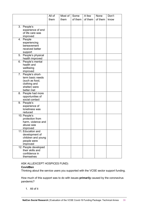|                                 | All of | Most of | Some    | A few   | None    | Don't |
|---------------------------------|--------|---------|---------|---------|---------|-------|
|                                 | them   | them    | of them | of them | of them | know  |
|                                 |        |         |         |         |         |       |
| 3. People's                     |        |         |         |         |         |       |
| experience of end               |        |         |         |         |         |       |
| of life care was                |        |         |         |         |         |       |
| improved                        |        |         |         |         |         |       |
| 4. People                       |        |         |         |         |         |       |
| experiencing                    |        |         |         |         |         |       |
| bereavement                     |        |         |         |         |         |       |
| received better                 |        |         |         |         |         |       |
| support                         |        |         |         |         |         |       |
| 5. People's physical            |        |         |         |         |         |       |
| health improved                 |        |         |         |         |         |       |
| 6. People's mental              |        |         |         |         |         |       |
| health and<br>wellbeing         |        |         |         |         |         |       |
| improved                        |        |         |         |         |         |       |
| 7. People's short-              |        |         |         |         |         |       |
| term basic needs                |        |         |         |         |         |       |
| (such as food,                  |        |         |         |         |         |       |
| clothing and                    |        |         |         |         |         |       |
| shelter) were                   |        |         |         |         |         |       |
| better met                      |        |         |         |         |         |       |
| 8. People had more              |        |         |         |         |         |       |
| opportunities of                |        |         |         |         |         |       |
| social contact                  |        |         |         |         |         |       |
| 9. People's                     |        |         |         |         |         |       |
| experience of<br>loneliness was |        |         |         |         |         |       |
| reduced                         |        |         |         |         |         |       |
| 10. People's                    |        |         |         |         |         |       |
| protection from                 |        |         |         |         |         |       |
| harm, violence and              |        |         |         |         |         |       |
| abuse was                       |        |         |         |         |         |       |
| improved                        |        |         |         |         |         |       |
| 11. Education and               |        |         |         |         |         |       |
| development of                  |        |         |         |         |         |       |
| children and young              |        |         |         |         |         |       |
| people were                     |        |         |         |         |         |       |
| improved                        |        |         |         |         |         |       |
| 12. People developed            |        |         |         |         |         |       |
| their skills and                |        |         |         |         |         |       |
| confidence in                   |        |         |         |         |         |       |
| themselves                      |        |         |         |         |         |       |

#### ASK ALL(EXCEPT HOSPICES FUND)

#### **CovidBen**

Thinking about the service users you supported with the VCSE sector support funding.

How much of this support was to do with issues **primarily** caused by the coronavirus pandemic?

1. All of it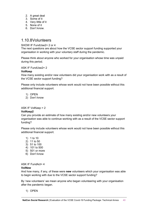- 2. A great deal
- 3. Some of it
- 4. Very little of it
- 5. None of it
- 6. Don't know.

# 1.10.8Volunteers

#### SHOW IF FundUse<sub>2</sub> = 2 or 4

The next questions are about how the VCSE sector support funding supported your organisation in working with your voluntary staff during the pandemic.

Please think about anyone who worked for your organisation whose time was unpaid during this period.

#### ASK IF FundUse2= 2

#### **VolKeep**

How many existing and/or new volunteers did your organisation work with as a result of the VCSE sector support funding?

Please only include volunteers whose work would not have been possible without this additional financial support.

- 1) OPEN
- 2) Don't know

ASK IF VolKeep = 2

#### **VolKeep2**

Can you provide an estimate of how many existing and/or new volunteers your organisation was able to continue working with as a result of the VCSE sector support funding?

Please only include volunteers whose work would not have been possible without this additional financial support.

- 1) 1 to 10
- 2) 11 to 50
- 3) 51 to 100
- 4) 101 to 500
- 5) 501 or more
- 6) Don't know

#### ASK IF FundAct= 4 **VolNew**

And how many, if any, of these were **new** volunteers which your organisation was able to begin working with due to the VCSE sector support funding?

By 'new volunteers' we mean anyone who began volunteering with your organisation after the pandemic began.

1) OPEN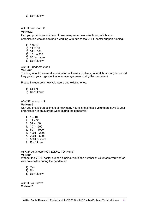2) Don't know

#### ASK IF VolNew = 2 **VolNew2**

Can you provide an estimate of how many were **new** volunteers, which your organisation was able to begin working with due to the VCSE sector support funding?

- 1) 1 to 10
- 2) 11 to 50
- 3) 51 to 100
- 4) 101 to 500
- 5) 501 or more
- 6) Don't know

ASK IF FundAct= 2 or 4

#### **VolHour**

Thinking about the overall contribution of these volunteers, in total, how many hours did they give to your organisation in an average week during the pandemic?

Please include both new volunteers and existing ones.

- 1) OPEN
- 2) Don't know

#### ASK IF VolHour = 2

#### **VolHour2**

Can you provide an estimate of how many hours in total these volunteers gave to your organisation in an average week during the pandemic?

- 1.  $1 10$
- 2.  $11 50$
- 3.  $51 100$
- 4. 101 500
- 5.  $501 1000$
- 6. 1001 2000
- 7. 2001 5000
- 8. 5001 or more
- 9. Don't know

ASK IF Volunteers NOT EQUAL TO "None" **VolNum**

Without the VCSE sector support funding, would the number of volunteers you worked with have fallen during the pandemic?

- 1) Yes
- 2) No
- 3) Don't know

ASK IF VolNum=1 **VolNum2**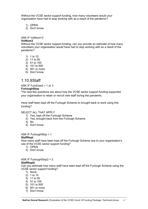Without the VCSE sector support funding, how many volunteers would your organisation have had to stop working with as a result of the pandemic?

- 1) OPEN
- 2) Don't know

#### ASK IF VolNum=2

#### **VolNum3**

Without the VCSE sector support funding, can you provide an estimate of how many volunteers your organisation would have had to stop working with as a result of the pandemic?

- 1) 1 to 10
- 2) 11 to 50
- 3) 51 to 100
- 4) 101 to 500
- 5) 501 or more
- 6) Don't know

# 1.10.9Staff

#### ASK IF FundUse2 = 1 or 3

#### **FurloughStop**

The next few questions are about how the VCSE sector support funding supported your organisation to retain or recruit new staff during the pandemic.

Have staff been kept off the Furlough Scheme or brought back to work using this funding?

#### SELECT ALL THAT APPLY

- 1) Yes, kept off the Furlough Scheme
- 2) Yes, brought back from the Furlough Scheme
- 3) No
- 4) Don't know

#### ASK IF FurloughStop = 1

#### **StaffKept**

How many staff have been kept off the Furlough Scheme due to your organisation's use of the VCSE sector support funding?

- 1) OPEN
- 2) Don't know

#### ASK IF FurloughStop2 = 2 **StaffKept2**

Can you estimate how many staff have been kept off the Furlough Scheme using the VCSE sector support funding?

- 1) None
- 2) 1 to 10
- 3) 11 to 50
- 4) 51 to 100
- 5) 101 to 500
- 6) 501 or more
- 7) Don't know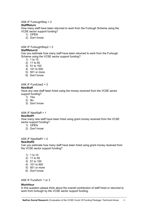#### ASK IF FurloughStop = 2

#### **StaffReturn**

How many staff have been returned to work from the Furlough Scheme using the VCSE sector support funding?

- 1) OPEN
- 2) Don't know

#### ASK IF FurloughStop2 = 2 **StaffReturn2**

Can you estimate how many staff have been returned to work from the Furlough Scheme using the VCSE sector support funding?

- 1) 1 to 10
- 2) 11 to 50
- 3) 51 to 100
- 4) 101 to 500
- 5) 501 or more
- 6) Don't know

#### ASK IF FundUse $2 = 3$

#### **NewStaff**

Have any new staff been hired using the money received from the VCSE sector support funding?

- 1) Yes
- $2)$  No
- 3) Don't know

### ASK IF NewStaff = 1

#### **NewStaff1**

How many new staff have been hired using grant money received from the VCSE sector support funding?

- 1) OPEN
- 2) Don't know

#### ASK IF NewStaff1 = 2 **NewStaff2**

Can you estimate how many staff have been hired using grant money received from the VCSE sector support funding?

- 1) 1 to 10
- 2) 11 to 50
- 3) 51 to 100
- 4) 101 to 500
- 5) 501 or more
- 6) Don't know

#### ASK IF FundAct= 1 or 3

#### **WorkHour**

In this question please think about the overall contribution of staff hired or returned to work from furlough by the VCSE sector support funding.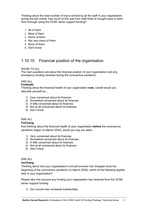Thinking about the total number of hours worked by all the staff in your organisation during the last month, how much of this was from staff hired or brought back to work from furlough using the VCSE sector support funding?

- 1. All of them
- 2. Most of them
- 3. Some of them
- 4. Not very many of them
- 5. None of them
- 6. Don't know

# 1.10.10 Financial position of the organisation

#### SHOW TO ALL

The next questions are about the financial position of your organisation and any emergency funding received during the coronavirus pandemic.

### ASK ALL

#### **FinHealth**

Thinking about the financial health of your organisation **now**, overall would you describe yourself as…

- 1) Very concerned about its finances
- 2) Somewhat concerned about its finances
- 3) A little concerned about its finances
- 4) Not at all concerned about its finances
- 5) Don't know

### ASK ALL

#### **FinChang**

And thinking about the financial health of your organisation **before** the coronavirus pandemic began (in March 2020), would you say you were…

- 1) Very concerned about its finances
- 2) Somewhat concerned about its finances
- 3) A little concerned about its finances
- 4) Not at all concerned about its finances
- 5) Don't know

# ASK ALL

### **IncChang**

Thinking about how your organisation's annual turnover has changed since the beginning of the coronavirus pandemic (in March 2020), which of the following applies best to your organisation?

Please take into account any funding your organisation has received from the VCSE sector support funding.

1) Our income has increased substantially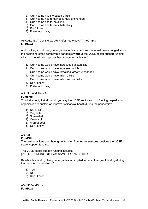- 2) Our income has increased a little
- 3) Our income has remained largely unchanged
- 4) Our income has fallen a little
- 5) Our income has fallen substantially
- 6) Don't know
- 7) Prefer not to say

#### ASK ALL NOT Don't know OR Prefer not to say AT **IncChang IncChan2**

And thinking about how your organisation's annual turnover would have changed since the beginning of the coronavirus pandemic **without** the VCSE sector support funding, which of the following applies best to your organisation?

- 1. Our income would have increased substantially
- 2. Our income would have increased a little
- 3. Our income would have remained largely unchanged
- 4. Our income would have fallen a little
- 5. Our income would have fallen substantially
- 6. Don't know
- 7. Prefer not to say

#### ASK IF FundUse = 1

#### **FundImp**

To what extent, if at all, would you say the VCSE sector support funding helped your organisation to sustain or improve its financial health during the pandemic?

- 1) Not at all
- 2) Very little
- 3) Somewhat
- 4) Quite a bit
- 5) A great deal
- 6) Don't know

### ASK ALL

#### **FundOth**

The next questions are about grant funding from **other sources**, besides the VCSE sector support funding.

The VCSE sector support funding includes: [INSERT FUNDING STREAM NAME OR NAMES HERE].

Besides this funding, has your organisation applied for any other grant funding during the coronavirus pandemic?

- 1) Yes
- 2) No
- 3) Don't know

ASK IF FundOth = 1 **FundApp**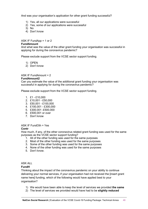And was your organisation's application for other grant funding successful?

- 1) Yes, all our applications were successful
- 2) Yes, some of our applications were successful
- 3) No
- 4) Don't know

#### ASK IF FundApp = 1 or 2

#### **FundAmount**

And what was the value of the other grant funding your organisation was successful in applying for during the coronavirus pandemic?

Please exclude support from the VCSE sector support funding.

- 1) OPEN
- 2) Don't know

#### ASK IF FundAmount = 2

#### **FundAmount2**

Can you estimate the value of the additional grant funding your organisation was successful in applying for during the coronavirus pandemic?

Please exclude support from the VCSE sector support funding.

- 1. £1 £10,000
- 2. £10,001 £50,000
- 3. £50,001 £100,000
- 4. £100,001 £300,000
- 5. £300,001 -£500,000
- 6. £500,001 or over
- 7. Don't know

#### ASK IF FundOth = Yes

#### **Contr**

How much, if any, of the other coronavirus related grant funding was used for the same purposes as the VCSE sector support funding?

- 1. All of the other funding was used for the same purposes
- 2. Most of the other funding was used for the same purposes
- 3. Some of the other funding was used for the same purposes
- 4. None of the other funding was used for the same purposes
- 5. Don't know.

#### ASK ALL

#### **FundH**

Thinking about the impact of the coronavirus pandemic on your ability to continue delivering your normal services, if your organisation had not received the [insert grant name here] funding, which of the following would have applied best to your organisation?

- 1) We would have been able to keep the level of services we provided **the same**
- 2) The level of services we provided would have had to be **slightly reduced**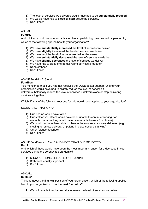- 3) The level of services we delivered would have had to be **substantially reduced**
- 4) We would have had to **close or stop** delivering services.
- 5) Don't know

#### ASK ALL

#### **FundH2**

And thinking about how your organisation has coped during the coronavirus pandemic, which of the following applies best to your organisation?

- 1) We have **substantially increased** the level of services we deliver
- 2) We have **slightly increased** the level of services we deliver
- 3) We have kept the level of services we deliver **the same**
- 4) We have **substantially decreased** the level of services we deliver
- 5) We have **slightly decreased** the level of services we deliver
- 6) We have had to close or stop delivering services altogether
- 7) None of these
- 8) Don't know

#### ASK IF FundH =  $2, 3$  or 4

#### **FundBarr**

You mentioned that if you had not received the VCSE sector support funding your organisation would have had to slightly reduce the level of services it delivers/substantially reduce the level of services it delivers/close or stop delivering services altogether.

Which, if any, of the following reasons for this would have applied to your organisation?

#### SELECT ALL THAT APPLY

- 1) Our income would have fallen
- 2) Our staff or volunteers would have been unable to continue working (for example, because they would have been unable to work from home)
- 3) We would not have been able to change the way services were delivered (e.g. moving to remote delivery, or putting in place social distancing)
- 4) Other (please describe)
- 5) Don't know

#### ASK IF FundBarr = 1, 2 or 3 AND MORE THAN ONE SELECTED **Barr2**

And which of these would have been the most important reason for a decrease in your services during the coronavirus pandemic?

- 1) SHOW OPTIONS SELECTED AT FundBarr
- 2) Both were equally important
- 3) Don't know

#### ASK ALL

#### **Sustain1**

Thinking about the financial position of your organisation, which of the following applies best to your organisation over the **next 3 months?**

**1.** We will be able to **substantially** increase the level of services we deliver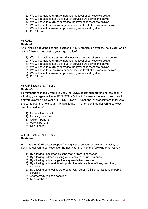- **2.** We will be able to **slightly** increase the level of services we deliver
- **3.** We will be able to keep the level of services we deliver **the same**
- **4.** We will have to **slightly** decrease the level of services we deliver
- **5.** We will have to **substantially** decrease the level of services we deliver
- **6.** We will have to close or stop delivering services altogether
- **7.** Don't know

#### ASK ALL

#### **Sustain2**

And thinking about the financial position of your organisation over the **next year**, which of the follow applies best to your organisation?

- 1) We will be able to **substantially** increase the level of services we deliver
- 2) We will be able to **slightly** increase the level of services we deliver
- 3) We will be able to keep the level of services we deliver **the same**
- 4) We will have to **slightly** decrease the level of services we deliver
- 5) We will have to **substantially** decrease the level of services we deliver
- 6) We will have to close or stop delivering services altogether
- 7) Don't know

#### ASK IF Sustain2 NOT 6 or 7

#### **Sustain3**

How important, if at all, would you say the VCSE sector support funding has been in allowing your organisation to [IF SUSTAIN2=1 or 2: "increase the level of services it delivers over the next year?"; IF SUSTAIN2 = 3: "keep the level of services it delivers the same over the next year?"; IF SUSTAIN2 = 4 or 5: "continue delivering services over the next year?"

- 1) Not at all important
- 2) Not very important
- 3) Quite important
- 4) Very important
- 5) Don't know

ASK IF Sustain2 NOT 6 or 7 **Sustain4**

And has the VCSE sector support funding improved your organisation's ability to continue delivering services over the next year in any of the following other ways?

- 1) By allowing us to keep existing staff or recruit new ones,
- 2) By allowing us keep existing volunteers or recruit new ones,
- 3) By allowing us to change the way we deliver services,
- 4) By allowing us to maintain important assets, such as offices, machinery or vehicles
- 5) By allowing us to collaborate better with other VCSE organisations or public services
- 6) Another way (please describe)
- 7) None of these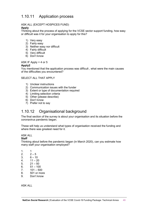# 1.10.11 Application process

#### ASK ALL (EXCEPT HOSPICES FUND)

#### **Apply**

Thinking about the process of applying for the VCSE sector support funding, how easy or difficult was it for your organisation to apply for this?

- 1) Very easy
- 2) Fairly easy
- 3) Neither easy nor difficult
- 4) Fairly difficult
- 5) Very difficult
- 6) Don't know

ASK IF Apply  $= 4$  or 5

#### **Apply2**

You mentioned that the application process was difficult , what were the main causes of the difficulties you encountered?

#### SELECT ALL THAT APPLY

- 1) Unclear instructions
- 2) Communication issues with the funder
- 3) Extent or type of documentation required
- 4) Limiting selection criteria
- 5) Other (please describe)
- 6) Don't know
- 7) Prefer not to say

# 1.10.12 Organisational background

The final section of the survey is about your organisation and its situation before the coronavirus pandemic began.

These will help us understand what types of organisation received the funding and where there was greatest need for it.

#### ASK ALL

**Staff**

Thinking about before the pandemic began (in March 2020), can you estimate how many staff your organisation employed?

- 1. 1
- 2.  $2 5$
- $3. 6 10$
- $4. 11 20$
- 5.  $21 50$ <br>6.  $51 100$
- $51 100$
- $7. 101 500$
- 8. 501 or more
- 9. Don't know

ASK ALL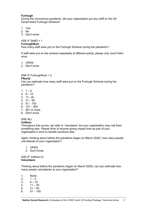#### **Furlough**

During the coronavirus pandemic, did your organisation put any staff on the UK Government Furlough Scheme?

- 1. Yes
- 2. No
- 3. Don't know

ASK IF Staff2 = 1

#### **FurloughNum**

How many staff were put on the Furlough Scheme during the pandemic?

If staff were put on the scheme repeatedly at different points, please only count them once.

1. OPEN

2. Don't know

#### ASK IF FurloughNum = 2 **FNum2**

Can you estimate how many staff were put on the Furlough Scheme during the pandemic?

- 1.  $1 5$
- 2.  $6 10$
- 3. 11– 20
- 4. 21 50
- 5. 51 100
- 6. 101 500
- 7. 501 or more
- 8. Don't know

#### ASK ALL

#### **VolNum**

Throughout this survey, we refer to 'volunteers' but your organisation may call them something else. Please think of anyone giving unpaid time as part of your organisation's work to benefit someone else.

Again, thinking about before the pandemic began (in March 2020), how many people volunteered at your organisation?

- 1. OPEN
- 2. Don't know

ASK IF VolNum=2 **Volunteers**

Thinking about before the pandemic began (in March 2020), can you estimate how many people volunteered at your organisation?

- 1. None<br>2. 1 5
- 2.  $1 5$ <br>3.  $6 10$
- $6 10$
- $4. 11 20$
- 5.  $21 50$
- 6.  $51 100$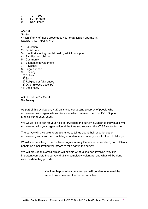- $7.101 500$
- 8. 501 or more<br>9. Don't know
- Don't know

ASK ALL **Sector** Which, if any, of these areas does your organisation operate in? SELECT ALL THAT APPLY

- 1) Education
- 2) Social care
- 3) Health (including mental health, addiction support)
- 4) Families and children
- 5) Community
- 6) Economic development
- 7) Advocacy
- 8) Legal support
- 9) Housing
- 10) Culture
- 11) Sport
- 12) Religious or faith based
- 13) Other (please describe)
- 14) Don't know

ASK FundUse $2 = 2$  or 4 **VolSurvey**

As part of this evaluation, NatCen is also conducting a survey of people who volunteered with organisations like yours which received the COVID-19 Support funding during 2020-2021.

We would like to ask for your help in forwarding the survey invitation to individuals who volunteered with your organisation at the time you received the VCSE sector funding.

The survey will give volunteers a chance to tell us about their experiences of volunteering and it will be completely confidential and anonymous for them to take part.

Would you be willing to be contacted again in early December to send out, on NatCen's behalf, an email inviting volunteers to take part in the survey?

We will provide this email, which will explain what taking part involves, why it is important complete the survey, that it is completely voluntary, and what will be done with the data they provide.

> Yes I am happy to be contacted and will be able to forward the email to volunteers on the funded activities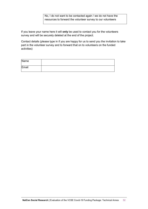No, I do not want to be contacted again / we do not have the resources to forward the volunteer survey to our volunteers

If you leave your name here it will **only** be used to contact you for the volunteers survey and will be securely deleted at the end of the project.

Contact details (please type in if you are happy for us to send you the invitation to take part in the volunteer survey and to forward that on to volunteers on the funded activities)

| Name  |  |
|-------|--|
| Email |  |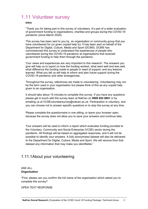# <span id="page-52-0"></span>1.11 Volunteer survey

#### **Intro**

"Thank you for taking part in this survey of volunteers. It's part of a wider evaluation of government funding to organisations, charities and groups during the COVID-19 pandemic (since March 2020).

This survey has been sent to you by an organisation or community group that you have volunteered for (or given unpaid help to). It has been sent on behalf of the Department for Digital, Culture, Media and Sport (DCMS). DCMS has commissioned this survey to understand the experiences of people who volunteered during the COVID-19 pandemic at organisations that received government funding to help them through the pandemic.

Your views and experiences are very important to this research. The answers you give will help us to report on how the funding worked, what went well and less well, what difference the funding made to people in need of support, and any lessons learned. What you tell us will help to inform and plan future support during the COVID-19 pandemic and other emergencies.

Throughout the survey, references are made to volunteering. Volunteering may not be the term used in your organisation but please think of this as any unpaid help given to an organisation.

It should take about 15 minutes to complete this survey. If you have any questions please get in touch with the survey team at NatCen on **0800 652 0601** or by emailing us at VCSEvolunteersurvey@natcen.ac.uk. Participation is voluntary, and you can choose not to answer specific questions or to stop the survey at any time.

Please complete the questionnaire in one sitting, or leave your browser open, because the survey does not allow you to save your answers and continue later.

Your answers will be used to inform a report which evaluates funding provided to the Voluntary, Community and Social Enterprise (VCSE) sector during the pandemic. All findings will be based on aggregated responses, and it will not be possible to identify your answers. A fully anonymised dataset will also be delivered to the Department for Digital, Culture, Media and Sport. We will remove from that dataset any information that may make you identifiable."

# 1.11.1About your volunteering

#### ASK ALL **Organisation**

"First, please can you confirm the full name of the organisation which asked you to complete this survey?

OPEN TEXT RESPONSE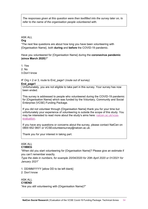*The responses given at this question were then textfilled into the survey later on, to refer to the name of the organisation people volunteered with.* 

#### ASK ALL

#### **Org**

"The next few questions are about how long you have been volunteering with {Organisation Name}, both **during** and **before** the COVID-19 pandemic.

Have you volunteered for {Organisation Name} during the **coronavirus pandemic (since March 2020)**?"

1. Yes

2. No

3.Don't know

IF  $O \nvert q = 2$  or 3, route to End page1 (route out of survey)

#### **End\_page1**

Unfortunately, you are not eligible to take part in this survey. Your survey has now been ended.

This survey is addressed to people who volunteered during the COVID-19 pandemic for {Organisation Name} which was funded by the Voluntary, Community and Social Enterprise (VCSE) Funding Package.

If you did not volunteer through {Organisation Name} thank you for your time but unfortunately your experience of volunteering is outside the scope of this study. You may be interested to read more about the study's aims here: [natcen.ac.uk/vcse](https://www.natcen.ac.uk/taking-part/studies-in-field/evaluation-of-the-voluntary,-community,-and-social-enterprise-sector-(vcse)-covid-19-support-funding-package/)[evaluation.](https://www.natcen.ac.uk/taking-part/studies-in-field/evaluation-of-the-voluntary,-community,-and-social-enterprise-sector-(vcse)-covid-19-support-funding-package/)

If you have any questions or concerns about the survey, please contact NatCen on 0800 652 0601 or VCSEvolunteersurvey@natcen.ac.uk.

Thank you for your interest in taking part.

#### ASK ALL **C19BEG**

"When did you start volunteering for {Organisation Name}? Please give an estimate if you can't remember exactly.

*Type the date in numbers, for example 20/04/2020 for 20th April 2020 or 01/2021 for January 2021*"

1. DD/MM/YYYY [allow DD to be left blank]

#### 2. Don't know

#### ASK ALL **C19END**

"Are you still volunteering with {Organisation Name}?"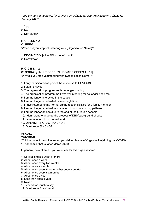*Type the date in numbers, for example 20/04/2020 for 20th April 2020 or 01/2021 for January 2021*"

- 1. Yes
- 2. No
- 3. Don't know

#### IF C19END = 2

#### **C19END2**

"When did you stop volunteering with {Organisation Name}?"

1. DD/MM/YYYY [allow DD to be left blank]

2. Don't know

IF  $C19END = 2$ 

**C19ENDWhy** [MULTICODE. RANDOMISE CODES 1…11] "Why did you stop volunteering with {Organisation Name}?"

- 1. I only participated as part of the response to COVID-19
- 2. I didn't enjoy it
- 3. The organisation/programme is no longer running
- 4. The organisation/programme I was volunteering for no longer need me
- 5. I am no longer interested in the cause
- 6. I am no longer able to dedicate enough time
- 7. I have returned to my normal caring responsibilities for a family member
- 8. I am no longer able to due to a return to normal working patterns
- 9. I am no longer able to due to the end of the furlough scheme
- 10. I don't want to undergo the process of DBS/background checks
- 11. I cannot afford to do unpaid work
- 12. Other [STRING: 200] [ANCHOR]
- 13. Don't know [ANCHOR]

#### ASK ALL **VOLMUCH**

"Thinking about the volunteering you did for [Name of Organisation] during the COVID-19 pandemic (that is, after March 2020).

In general, how often did you volunteer for this organisation?"

- 1. Several times a week or more
- 2. About once a week
- 3. About once every two weeks
- 4. About once a month
- 5. About once every three months/ once a quarter
- 6. About once every six months
- 7. About once a year
- 8. Less than once a year
- 9. Never
- 10. Varied too much to say
- 11. Don't know / can't recall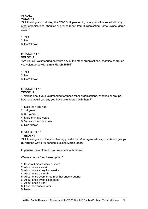#### ASK ALL **VOLOTH1**

"Still thinking about **during** the COVID-19 pandemic, have you volunteered with any other organisations, charities or groups (apart from {Organisation Name}) since March 2020?"

- 1. Yes
- 2. No
- 3. Don't know

#### IF VOLOTH1 = 1 **VOLOTH2**

"Are you still volunteering now with any of the other organisations, charities or groups you volunteered with **since March 2020**?"

- 1. Yes
- 2. No
- 3. Don't know

#### IF VOLOTH1 = 1 **YRSOTH1**

"Thinking about your volunteering for these other organisations, charities or groups, how long would you say you have volunteered with them?"

#### 1. Less than one year

- 2. 1-2 years
- 3. 3-5 years
- 4. More than five years
- 5. Varies too much to say
- 6. Don't know

#### IF VOLOTH1 = 1

#### **TIMEOTH1**

"Still thinking about the volunteering you did for *other* organisations, charities or groups **during** the Covid-19 pandemic (since March 2020).

In general, how often did you volunteer with them?

*Please choose the closest option*."

- 1. Several times a week or more
- 2. About once a week
- 3. About once every two weeks
- 4. About once a month
- 5. About once every three months/ once a quarter
- 6. About once every six months
- 7. About once a year
- 8. Less than once a year
- 9. Never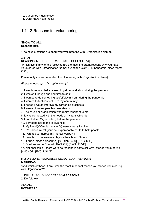11. Don't know / can't recall

# 1.11.2 Reasons for volunteering

#### SHOW TO ALL **ReasonsIntro**

"The next questions are about your volunteering with {Organisation Name}."

ASK ALL

**REASONS** [MULTICODE. RANDOMISE CODES 1…14]

"Which five, if any, of the following are the most important reasons why you have volunteered with {Organisation Name} during the COVID-19 pandemic (since March 2020).

Please only answer in relation to volunteering with {Organisation Name}.

*Please choose up to five options only."*

- 1. I was bored/wanted a reason to get out and about during the pandemic
- 2. I was on furlough and had time to do it
- 3. I wanted to do something useful/play my part during the pandemic
- 4. I wanted to feel connected to my community
- 5. I hoped it would improve my career/job prospects
- 6. I wanted to meet people/make friends
- 7. The cause or organisation was really important to me
- 8. It was connected with the needs of my family/friends
- 9. I had helped Organisation] before the pandemic
- 10. Someone asked me to give help
- 11. My friend(s)/family member(s) were already involved
- 12. It's part of my religious belief/philosophy of life to help people
- 13. I wanted to improve my mental wellbeing
- 14. I wanted to improve my physical health and fitness
- 15. Other (please describe) [STRING 400] [ANCHOR]
- 16. Don't know/ don't recall [ANCHOR] [EXCLUSIVE]

17. Not applicable – there were no reasons in particular why I started volunteering [ANCHOR] [EXCLUSIVE]

#### IF 2 OR MORE RESPONSES SELECTED AT **REASONS MAINREAS**

"And which of these, if any, was the most important reason you started volunteering with Organisation?"

1. PULL THROUGH CODES FROM **REASONS**

2. Don't know

ASK ALL **HOWHEARD**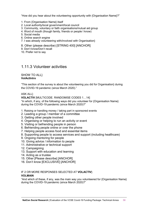"How did you hear about the volunteering opportunity with {Organisation Name}?"

- 1. From {Organisation Name} itself
- 2. Local authority/local government/local council
- 3. Community, voluntary or faith organisations/mutual aid group
- 4. Word of mouth (though family, friends or people I know)
- 5. Social media
- 6. Online search engine
- 7. I was already volunteering with/involved with Organisation}
- 8. Other (please describe) [STRING 400] [ANCHOR]
- 9. Don't know/Don't recall
- 10. Prefer not to say

# 1.11.3 Volunteer activities

#### SHOW TO ALL} **VolActIntro**

"This section of the survey is about the volunteering you did for Organisation} during the COVID-19 pandemic (since March 2020)."

#### ASK ALL}

**VOLACTIV** [MULTICODE. RANDOMISE CODES 1…14] "In which, if any, of the following ways did you volunteer for {Organisation Name} during the COVID-19 pandemic (since March 2020)?"

- 1. Raising or handling money / taking part in sponsored events
- 2. Leading a group / member of a committee
- 3. Getting other people involved
- 4. Organising or helping to run an activity or event
- 5. Visiting or befriending people in person
- 6. Befriending people online or over the phone
- 7. Helping people access food and essential items
- 8. Supporting people to access services and support (including healthcare)
- 9. Ongoing mentoring for people
- 10. Giving advice / information to people
- 11. Administrative or technical support
- 12. Campaigning
- 13. Support with education and learning
- 14. Acting as a trustee
- 15. Other [Please describe] [ANCHOR]
- 16. Don't know [EXCLUSIVE] [ANCHOR]

# IF 2 OR MORE RESPONSES SELECTED AT **VOLACTIV**}

#### **VOLMAIN**

"And which of these, if any, was the main way you volunteered for {Organisation Name} during the COVID-19 pandemic (since March 2020)?"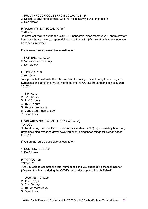#### 1. PULL THROUGH CODES FROM **VOLACTIV [1-14]**

- 2. Difficult to say/ none of these was the 'main' activity I was engaged in
- 3. Don't know

#### IF **VOLACTIV** NOT EQUAL TO '16'} **TIMEVOL**

"In a **typical month** during the COVID-19 pandemic (since March 2020), approximately how many hours have you spent doing these things for {Organisation Name} since you have been involved?

If you are not sure please give an estimate."

- 1. NUMERIC [1…1,000]
- 2. Varies too much to say
- 3. Don't know

IF TIMEVOL = 3}

#### **TIMEVOL2**

"Are you able to estimate the total number of **hours** you spent doing these things for {Organisation Name} in a typical month during the COVID-19 pandemic (since March 2020)?"

- 1. 1-5 hours
- 2. 6-10 hours
- 3. 11-15 hours
- 4. 16-20 hours
- 5. 20 or more hours
- 6. Varies too much to say
- 7. Don't know

#### IF **VOLACTIV** NOT EQUAL TO 16 "Don't know"} **TOTVOL**

"In **total** during the COVID-19 pandemic (since March 2020), approximately how many **days** (including weekend days) have you spent doing these things for {Organisation Name}?

If you are not sure please give an estimate."

1. NUMERIC [1…1,000]

2. Don't know

#### IF TOTVOL =  $2$ } **TOTVOL2**

"Are you able to estimate the total number of **days** you spent doing these things for {Organisation Name} during the COVID-19 pandemic (since March 2020)?"

- 1. Less than 10 days 2. 11-50 days
- 3. 51-100 days
- 4. 101 or more days
- 5. Don't know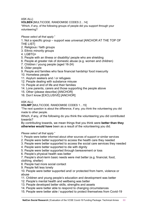ASK ALL}

**VOLBEN** [MULTICODE. RANDOMISE CODES 2…14]

"Which, if any, of the following groups of people did you support through your volunteering?

#### *Please select all that apply.*"

1. Not a specific group – support was universal [ANCHOR AT THE TOP OF THE LIST]

- 2. Religious / faith groups
- 3. Ethnic minority groups
- 4. LGBTQ+
- 5. People with an illness or disability/ people who are shielding
- 6. People at greater risk of domestic abuse (e.g. women and children)
- 7. Children / young people (aged 16-24)
- 8. Older people
- 9. People and families who face financial hardship/ food insecurity
- 10. Homeless people
- 11. Asylum seekers and / or refugees
- 12. People dealing with substance misuse
- 13. People at end of life and their families
- 14. Lone parents, carers and those supporting the people above
- 15. Other (please describe) [ANCHOR]
- 16. Don't know [EXCLUSIVE] [ANCHOR]

ASK ALL}

**VOLIMP** [MULTICODE. RANDOMISE CODES 1…15]

"The next question is about the difference, if any, you think the volunteering you did made to other people.

Which, if any, of the following do you think the volunteering you did contributed towards?

By contributing towards, we mean things that you think were **better than they otherwise would have** been as a result of the volunteering you did.

#### *Please select all that apply.*"

- 1. People were better informed about other sources of support or similar services
- 2. People were better supported to access the health care they needed
- 3. People were better supported to access the social care services they needed
- 4. People were better supported to die with dignity
- 5. People were better supported through bereavement or loss
- 6. People's physical health was better

7. People's short-term basic needs were met better (e.g. financial, food, clothing, shelter)

- 8. People had more social contact
- 9. People felt less lonely

10. People were better supported and/ or protected from harm, violence or abuse

- 11. Children and young people's education and development was better
- 12. People's mental health and wellbeing was better
- 13. People developed better skills, strengths and assets
- 14. People were better able to respond to changing circumstances
- 15. People were better able / supported to protect themselves from Covid-19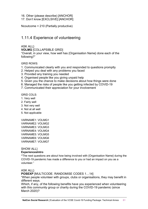- 16. Other (please describe) [ANCHOR]
- 17. Don't know [EXCLSIVE] [ANCHOR]

Ncoutcome = 210 (Partially productive)

# 1.11.4 Experience of volunteering

#### ASK ALL}

**VOLMG** [COLLAPSIBLE GRID]

"Overall, in your view, how well has {Organisation Name} done each of the following?"

GRID ROWS:

- 1. Communicated clearly with you and responded to questions promptly
- 2. Helped you deal with any problems you faced
- 3. Provided any training you needed
- 4. Organised people like you giving unpaid help
- 5. Given you the chance to make decisions about how things were done
- 6. Managed the risks of people like you getting infected by COVID-19
- 7. Communicated their appreciation for your involvement

GRID COLS:

- 1. Very well
- 2. Fairly well
- 3. Not very well
- 4. Not at all well
- 5. Not applicable

VARNAME1: VOLMG1 VARNAME2: VOLMG2 VARNAME3: VOLMG3 VARNAME4: VOLMG4 VARNAME5: VOLMG5 VARNAME6: VOLMG6 VARNAME7: VOLMG7

#### SHOW ALL}

#### **ExperiencesIntro**

**"**The next questions are about how being involved with {Organisation Name} during the COVID-19 pandemic has made a difference to you or had an impact on you as a volunteer."

#### ASK ALL}

**POSEXP** [MULTICODE. RANDOMISE CODES 1…14]

"When people volunteer with groups, clubs or organisations, they may benefit in different ways.

Which, if any, of the following benefits have you experienced when volunteering with this community group or charity during the COVID-19 pandemic (since March 2020)?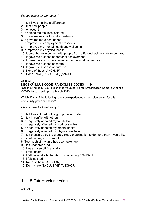*Please select all that apply."*

- 1. I felt I was making a difference
- 2. I met new people
- 3. I enjoyed it
- 4. It helped me feel less isolated
- 5. It gave me new skills and experience
- 6. It gave me more confidence
- 7. It improved my employment prospects
- 8. It improved my mental health and wellbeing
- 9. It improved my physical health
- 10. It brought me in contact with people from different backgrounds or cultures
- 11. It gave me a sense of personal achievement
- 12. It gave me a stronger connection to the local community
- 13. It gave me a sense of control
- 14. It gave me a sense of purpose
- 15. None of these [ANCHOR]
- 16. Don't know [EXCLUSIVE] [ANCHOR]

#### ASK ALL}

#### **NEGEXP** [MULTICODE. RANDOMISE CODES 1…14]

"Still thinking about your experience volunteering for {Organisation Name} during the COVID-19 pandemic (since March 2020).

Which, if any of the following have you experienced when volunteering for this community group or charity?

#### *Please select all that apply."*

- 1. I felt I wasn't part of the group (i.e. excluded)
- 2. I felt in conflict with others
- 3. It negatively affected my family life
- 4. It negatively affected my work or studies
- 5. It negatively affected my mental health
- 6. It negatively affected my physical wellbeing
- 7. I felt pressured by the group / club / organisation to do more than I would like
- / to continue my involvement
- 8. Too much of my time has been taken up
- 9. I felt unappreciated
- 10. I was worse off financially
- 11. I felt unsafe
- 12. I felt I was at a higher risk of contracting COVID-19
- 13. I felt isolated
- 14. None of these [ANCHOR]
- 15. Don't know [EXCLUSIVE] [ANCHOR]

# 1.11.5 Future volunteering

ASK ALL}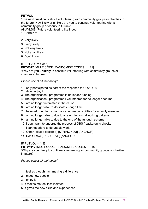#### **FUTVOL**

"The next question is about volunteering with community groups or charities in the future. How likely or unlikely are you to continue volunteering with a community group or charity in future?" ANAYLSIS:"Future volunteering likelihood"

- 1. Certain to
- 2. Very likely
- 3. Fairly likely
- 4. Not very likely
- 5. Not at all likely
- 6. Don't know

IF FUTVOL =  $4$  or  $5$ } **FUTWHY** [MULTICODE. RANDOMISE CODES 1…11] "Why are you **unlikely** to continue volunteering with community groups or charities in future?

#### *Please select all that apply.*"

- 1. I only participated as part of the response to COVID-19
- 2. I didn't enjoy it
- 3. The organisation / programme is no longer running
- 4. The organisation / programme I volunteered for no longer need me
- 5. I am no longer interested in the cause
- 6. I am no longer able to dedicate enough time
- 7. I have returned to my normal caring responsibilities for a family member
- 8. I am no longer able to due to a return to normal working patterns
- 9. I am no longer able to due to the end of the furlough scheme
- 10. I don't want to undergo the process of DBS / background checks
- 11. I cannot afford to do unpaid work
- 12. Other (please describe) [STRING 400}] [ANCHOR]
- 14. Don't know [EXCLUSIVE] [ANCHOR]

#### IF FUTVOL  $= 1-3$

**FUTWHY2** [MULTICODE. RANDOMISE CODES 1…18] "Why are you **likely** to continue volunteering for community groups or charities in future?

*Please select all that apply*."

- 1. I feel as though I am making a difference
- 2. I meet new people
- 3. I enjoy it
- 4. It makes me feel less isolated
- 5. It gives me new skills and experiences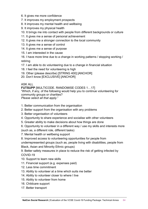- 6. It gives me more confidence
- 7. It improves my employment prospects
- 8. It improves my mental health and wellbeing
- 9. It improves my physical health
- 10. It brings me into contact with people from different backgrounds or culture
- 11. It gives me a sense of personal achievement
- 12. It gives me a stronger connection to the local community
- 13. It gives me a sense of control
- 14. It gives me a sense of purpose
- 15. I am interested in the cause

16. I have more time due to a change in working patterns / stopping working / retiring

- 17. I am able to do volunteering due to a change in financial situation
- 18. I feel the need for volunteering is high
- 19. Other (please describe) [STRING 400] [ANCHOR]
- 20. Don't know [EXCLUSIVE] [ANCHOR]

#### ASK ALL

**FUTSUPP** [MULTICODE. RANDOMISE CODES 1…17] "Which, if any, of the following would help you to continue volunteering for community groups or charities? *Please select all that apply*."

1. Better communication from the organisation

- 2. Better support from the organisation with any problems
- 3. Better organisation of volunteers
- 4. Opportunity to share experience and socialise with other volunteers
- 5. Greater ability to make decisions about how things are done
- 6. Opportunity to volunteer in a different way / use my skills and interests more
- (such as, a different role, different tasks)
- 7. Mental health or wellbeing support
- 8. Improved access to volunteering opportunities for people from

underrepresented groups (such as, people living with disabilities, people from Black, Asian and Minority Ethnic groups)

9. Better safety measures in place to reduce the risk of getting infected by COVID-19

- 10. Support to learn new skills
- 11. Financial support (e.g. expenses paid)
- 12. Less time commitment
- 13. Ability to volunteer at a time which suits me better
- 14. Ability to volunteer closer to where I live
- 15. Ability to volunteer from home
- 16. Childcare support
- 17. Better transport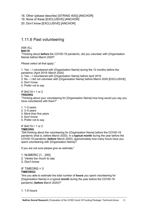- 18. Other (please describe) [STRING 400}] [ANCHOR]
- 19. None of these [EXCLUSIVE] [ANCHOR]
- 20. Don't know [EXCLUSIVE] [ANCHOR]

# 1.11.6 Past volunteering

#### ASK ALL

#### **B4C19**

"Thinking about **before** the COVID-19 pandemic, did you volunteer with {Organisation Name} before March 2020?

*Please select all that apply*."

1. Yes – I volunteered with {Organisation Name} during the 12 months before the pandemic (April 2019–March 2020)

2. Yes – I volunteered with {Organisation Name} before April 2019

- 3. No I did not volunteer with {Organisation Name} before March 2020 [EXCLUSIVE]
- 4. Don't know

5. Prefer not to say

IF B4C19 = 1 or 2

#### **YRSORG**

"Thinking about your volunteering for {Organisation Name} how long would you say you have volunteered with them?"

- 1. 1–2 years
- 2. 3–5 years
- 3. More than five years
- 4. Don't know
- 5. Prefer not to say

# IF B4C19 = 1 or 2

#### **TIMEORG**

"Still thinking about the volunteering for {Organisation Name} before the COVID-19 pandemic (that is, before March 2020). In a **typical month** during the year before the COVID-19 pandemic (**before** March 2020), approximately how many hours have you spent volunteering with {Organisation Name}?

If you are not sure please give an estimate."

- 1. NUMERIC [1…350]
- 2. Varies too much to say
- 3. Don't know

#### IF TIMEORG = 3 **TIMEORG2**

"Are you able to estimate the total number of **hours** you spent volunteering for {Organisation Name} in a typical **month** during the year before the COVID-19 pandemic (**before** March 2020)?"

1. 1-5 hours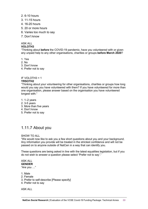- 2. 6-10 hours
- 3. 11-15 hours
- 4. 16-20 hours
- 5. 20 or more hours
- 6. Varies too much to say
- 7. Don't know

#### ASK ALL

#### **VOLOTH3**

"Thinking about **before** the COVID-19 pandemic, have you volunteered with or given any unpaid help to any other organisations, charities or groups **before March 2020**?

1. Yes

- 2. No
- 3. Don't know
- 4. Prefer not to say

#### IF VOLOTH3 = 1 **YRSOTH2**

#### "Thinking about your volunteering for other organisations, charities or groups how long would you say you have volunteered with them? If you have volunteered for more than one organisation, please answer based on the organisation you have volunteered longest with."

- 1. 1–2 years
- 2. 3-5 years
- 3. More than five years
- 4. Don't know
- 5. Prefer not to say

# 1.11.7 About you

#### SHOW TO ALL

"We would now like to ask you a few short questions about you and your background. Any information you provide will be treated in the strictest confidence and will not be passed on to anyone outside of NatCen in a way that can identify you.

These questions are being asked in line with the latest equalities legislation, but if you do not wish to answer a question please select 'Prefer not to say'."

#### ASK ALL **GENDER**

"Are you …"

- 1. Male
- 2. Female
- 3. Prefer to self-describe [Please specify]
- 4. Prefer not to say

ASK ALL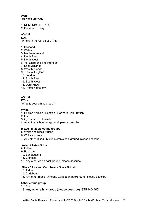**AGE** "How old are you?"

1. NUMERIC [10… 120]

2. Prefer not to say

ASK ALL **LOC** "Where in the UK do you live?"

- 1. Scotland
- 2. Wales
- 3. Northern Ireland
- 4. North East
- 5. North West
- 6. Yorkshire and The Humber
- 7. East Midlands
- 8, West Midlands
- 9. East of England
- 10. London
- 11. South East
- 12. South West
- 13. Don't know
- 14. Prefer not to say

ASK ALL **ETHN** "What is your ethnic group?"

#### **White**

- 1. English / Welsh / Scottish / Northern Irish / British
- 2. Irish
- 3. Gypsy or Irish Traveller
- 4. Any other White background, please describe

#### **Mixed / Multiple ethnic groups**

- 5. White and Black African
- 6. White and Asian
- 7. Any other Mixed / Multiple ethnic background, please describe

#### **Asian / Asian British**

- 8. Indian
- 9. Pakistani
- 10. Bangladeshi
- 11. Chinese
- 12. Any other Asian background, please describe

#### **Black / African / Caribbean / Black British**

- 13. African
- 14. Caribbean
- 15. Any other Black / African / Caribbean background, please describe

#### **Other ethnic group**

18. Arab

19. Any other ethnic group (please describe) [STRING 400]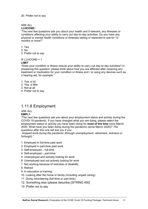#### ASK ALL

#### **LLHCOND**

"The next few questions ask you about your health and if relevant, any illnesses or conditions affecting your ability to carry out day-to-day activities. Do you have any physical or mental health conditions or illnesses lasting or expected to last for 12 months or more?"

#### 1. Yes

- 2. No
- 3. Prefer not to say

# IF LLHCOND = 1

#### **LIMIT**

"Does your condition or illness reduce your ability to carry out day-to-day activities? In answering this question, please think about how you are affected after receiving any treatment or medication for your condition or illness and / or using any devices such as a hearing aid, for example."

- 1. Yes, a lot
- 2. Yes, a little
- 3. Not at all
- 4. Prefer not to say

# 1.11.8 Employment

#### ASK ALL **EMPL1**

#### "The next few questions ask you about your employment status and activity during the COVID-19 pandemic. If you have changed what you are doing, please select the employment status or activity you have been doing for **most of the time** since March 2020. What have you been doing during the pandemic (since March 2020)? *The questions after this one will ask you if you*

*stopped work during the pandemic (through unemployment, retirement, sickness or furlough)."*

- 1. Employed in full-time paid work
- 2. Employed in part-time paid work
- 3. Self-employed full-time
- 4. Self-employed part-time
- 5. Unemployed and actively looking for work
- 6. Unemployed and not actively looking for work
- 7. Not working because of sickness or disability
- 8. Retired
- 9. In education or training
- 10. Looking after the home or family (including unpaid caring)
- 11. Doing volunteering (full-time or part-time)
- 12. Something else (please describe) [STRING 400]
- 13. Prefer not to say